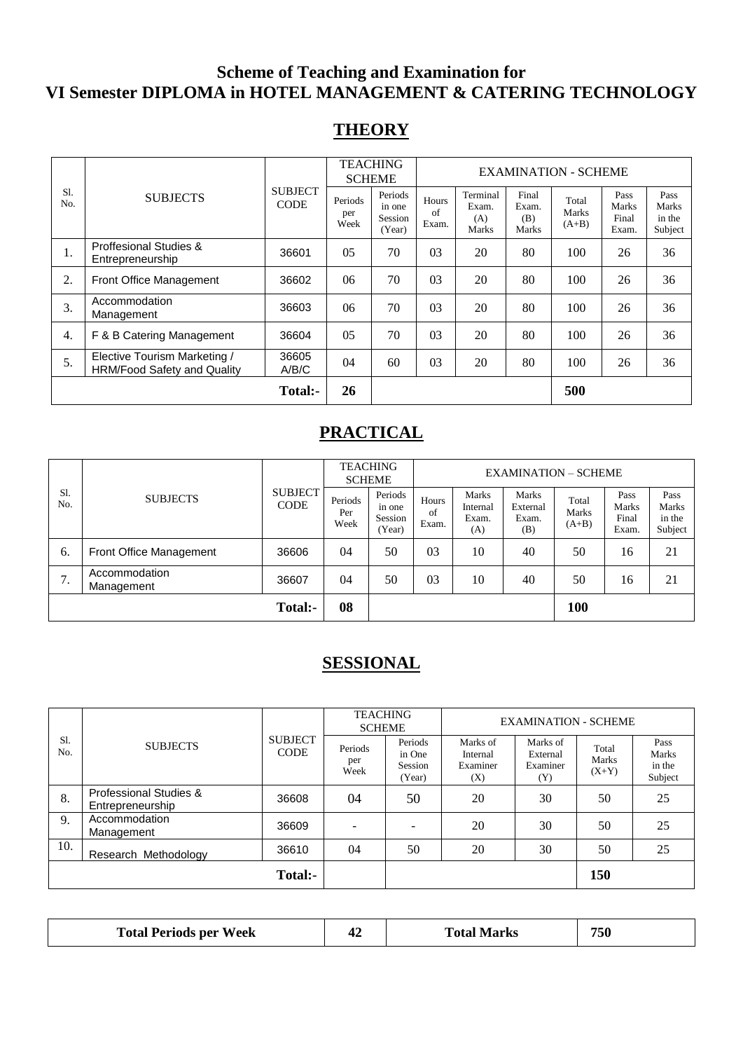# **Scheme of Teaching and Examination for VI Semester DIPLOMA in HOTEL MANAGEMENT & CATERING TECHNOLOGY**

## **THEORY**

|            |                                                                    |                               |                        | <b>TEACHING</b><br><b>SCHEME</b>       |                      | <b>EXAMINATION - SCHEME</b>       |                                |                           |                                 |                                    |
|------------|--------------------------------------------------------------------|-------------------------------|------------------------|----------------------------------------|----------------------|-----------------------------------|--------------------------------|---------------------------|---------------------------------|------------------------------------|
| S1.<br>No. | <b>SUBJECTS</b>                                                    | <b>SUBJECT</b><br><b>CODE</b> | Periods<br>per<br>Week | Periods<br>in one<br>Session<br>(Year) | Hours<br>of<br>Exam. | Terminal<br>Exam.<br>(A)<br>Marks | Final<br>Exam.<br>(B)<br>Marks | Total<br>Marks<br>$(A+B)$ | Pass<br>Marks<br>Final<br>Exam. | Pass<br>Marks<br>in the<br>Subject |
| 1.         | <b>Proffesional Studies &amp;</b><br>Entrepreneurship              | 36601                         | 0 <sub>5</sub>         | 70                                     | 03                   | 20                                | 80                             | 100                       | 26                              | 36                                 |
| 2.         | Front Office Management                                            | 36602                         | 06                     | 70                                     | 03                   | 20                                | 80                             | 100                       | 26                              | 36                                 |
| 3.         | Accommodation<br>Management                                        | 36603                         | 06                     | 70                                     | 03                   | 20                                | 80                             | 100                       | 26                              | 36                                 |
| 4.         | F & B Catering Management                                          | 36604                         | 0 <sub>5</sub>         | 70                                     | 03                   | 20                                | 80                             | 100                       | 26                              | 36                                 |
| 5.         | Elective Tourism Marketing /<br><b>HRM/Food Safety and Quality</b> | 36605<br>A/B/C                | 04                     | 60                                     | 03                   | 20                                | 80                             | 100                       | 26                              | 36                                 |
|            |                                                                    | Total:-                       | 26                     |                                        |                      |                                   |                                | 500                       |                                 |                                    |

# **PRACTICAL**

| S1.<br>No. |                             |                               | <b>TEACHING</b><br><b>SCHEME</b> |                                        | <b>EXAMINATION – SCHEME</b> |                                          |                                   |                           |                                 |                                    |
|------------|-----------------------------|-------------------------------|----------------------------------|----------------------------------------|-----------------------------|------------------------------------------|-----------------------------------|---------------------------|---------------------------------|------------------------------------|
|            | <b>SUBJECTS</b>             | <b>SUBJECT</b><br><b>CODE</b> | Periods<br>Per<br>Week           | Periods<br>in one<br>Session<br>(Year) | Hours<br>of<br>Exam.        | <b>Marks</b><br>Internal<br>Exam.<br>(A) | Marks<br>External<br>Exam.<br>(B) | Total<br>Marks<br>$(A+B)$ | Pass<br>Marks<br>Final<br>Exam. | Pass<br>Marks<br>in the<br>Subject |
| 6.         | Front Office Management     | 36606                         | 04                               | 50                                     | 03                          | 10                                       | 40                                | 50                        | 16                              | 21                                 |
| ⇁<br>.,    | Accommodation<br>Management | 36607                         | 04                               | 50                                     | 03                          | 10                                       | 40                                | 50                        | 16                              | 21                                 |
|            |                             | Total:-                       | 08                               |                                        |                             |                                          |                                   | 100                       |                                 |                                    |

# **SESSIONAL**

|            |                                            |                               | <b>TEACHING</b><br><b>SCHEME</b> |                                        | <b>EXAMINATION - SCHEME</b>             |                                         |                           |                                    |
|------------|--------------------------------------------|-------------------------------|----------------------------------|----------------------------------------|-----------------------------------------|-----------------------------------------|---------------------------|------------------------------------|
| S1.<br>No. | <b>SUBJECTS</b>                            | <b>SUBJECT</b><br><b>CODE</b> | Periods<br>per<br>Week           | Periods<br>in One<br>Session<br>(Year) | Marks of<br>Internal<br>Examiner<br>(X) | Marks of<br>External<br>Examiner<br>(Y) | Total<br>Marks<br>$(X+Y)$ | Pass<br>Marks<br>in the<br>Subject |
| 8.         | Professional Studies &<br>Entrepreneurship | 36608                         | 04                               | 50                                     | 20                                      | 30                                      | 50                        | 25                                 |
| 9.         | Accommodation<br>Management                | 36609                         |                                  |                                        | 20                                      | 30                                      | 50                        | 25                                 |
| 10.        | Research Methodology                       | 36610                         | 04                               | 50                                     | 20                                      | 30                                      | 50                        | 25                                 |
|            |                                            | Total:-                       |                                  |                                        |                                         |                                         | 150                       |                                    |

| <b>Total Periods per Week</b> | Total I<br>Marks | 750 |
|-------------------------------|------------------|-----|
|-------------------------------|------------------|-----|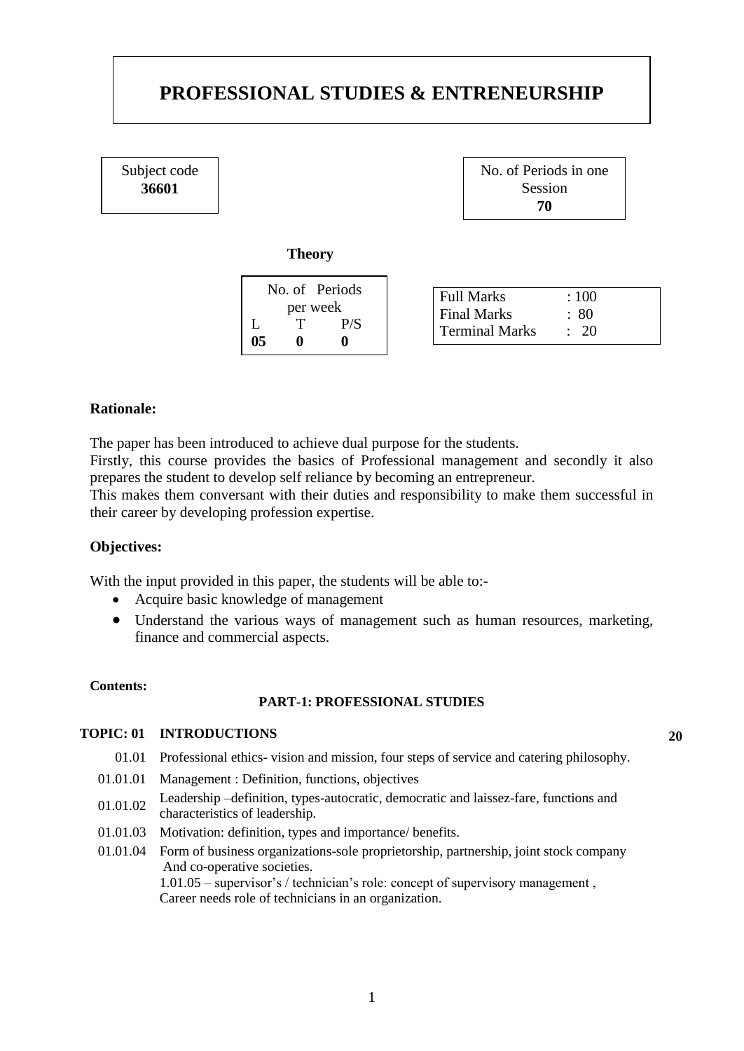# **PROFESSIONAL STUDIES & ENTRENEURSHIP**

Subject code **36601**

No. of Periods in one Session **70**

#### **Theory**

#### **Rationale:**

The paper has been introduced to achieve dual purpose for the students.

Firstly, this course provides the basics of Professional management and secondly it also prepares the student to develop self reliance by becoming an entrepreneur.

This makes them conversant with their duties and responsibility to make them successful in their career by developing profession expertise.

#### **Objectives:**

With the input provided in this paper, the students will be able to:-

- Acquire basic knowledge of management
- Understand the various ways of management such as human resources, marketing, finance and commercial aspects.

#### **Contents:**

#### **PART-1: PROFESSIONAL STUDIES**

#### **TOPIC: 01 INTRODUCTIONS 20**

- 01.01 Professional ethics- vision and mission, four steps of service and catering philosophy.
- 01.01.01 Management : Definition, functions, objectives
- 01.01.02 Leadership –definition, types-autocratic, democratic and laissez-fare, functions and characteristics of leadership.
- 01.01.03 Motivation: definition, types and importance/ benefits.
- 01.01.04 Form of business organizations-sole proprietorship, partnership, joint stock company And co-operative societies. 1.01.05 – supervisor's / technician's role: concept of supervisory management , Career needs role of technicians in an organization.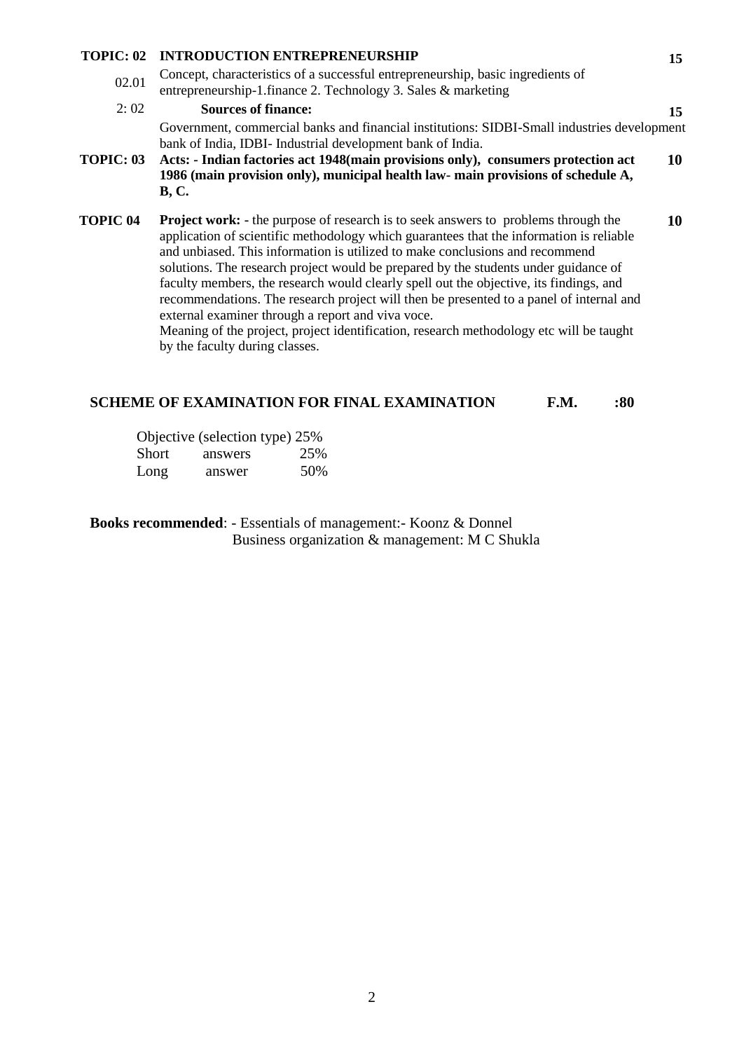#### **TOPIC: 02 INTRODUCTION ENTREPRENEURSHIP 15** 02.01 Concept, characteristics of a successful entrepreneurship, basic ingredients of entrepreneurship-1.finance 2. Technology 3. Sales & marketing 2: 02 **Sources of finance: 15** Government, commercial banks and financial institutions: SIDBI-Small industries development bank of India, IDBI- Industrial development bank of India. **TOPIC: 03 Acts: - Indian factories act 1948(main provisions only), consumers protection act 1986 (main provision only), municipal health law- main provisions of schedule A, B, C. 10 TOPIC 04 Project work: -** the purpose of research is to seek answers to problems through the application of scientific methodology which guarantees that the information is reliable and unbiased. This information is utilized to make conclusions and recommend solutions. The research project would be prepared by the students under guidance of **10**

external examiner through a report and viva voce. Meaning of the project, project identification, research methodology etc will be taught by the faculty during classes.

faculty members, the research would clearly spell out the objective, its findings, and recommendations. The research project will then be presented to a panel of internal and

#### **SCHEME OF EXAMINATION FOR FINAL EXAMINATION F.M. : 80**

|       | Objective (selection type) 25% |     |
|-------|--------------------------------|-----|
| Short | answers                        | 25% |
| Long  | answer                         | 50% |

**Books recommended**: - Essentials of management:- Koonz & Donnel Business organization & management: M C Shukla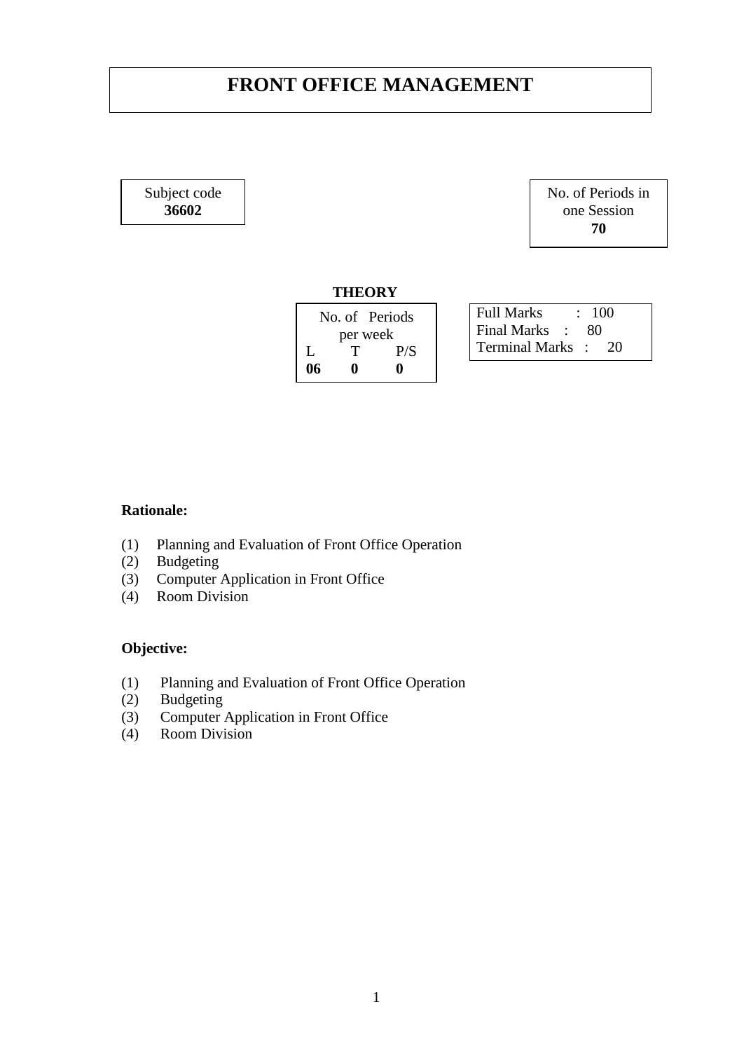# **FRONT OFFICE MANAGEMENT**

Subject code **36602**

No. of Periods in one Session **70**

#### **THEORY**

|    | No. of Periods |     |  |  |
|----|----------------|-----|--|--|
|    | per week       |     |  |  |
| L  | T              | P/S |  |  |
| 06 | o              | 0   |  |  |

Full Marks : 100 Final Marks : 80 Terminal Marks : 20

### **Rationale:**

- (1) Planning and Evaluation of Front Office Operation
- (2) Budgeting
- (3) Computer Application in Front Office
- $(4)$  Room Division

- (1) Planning and Evaluation of Front Office Operation
- (2) Budgeting
- (3) Computer Application in Front Office
- (4) Room Division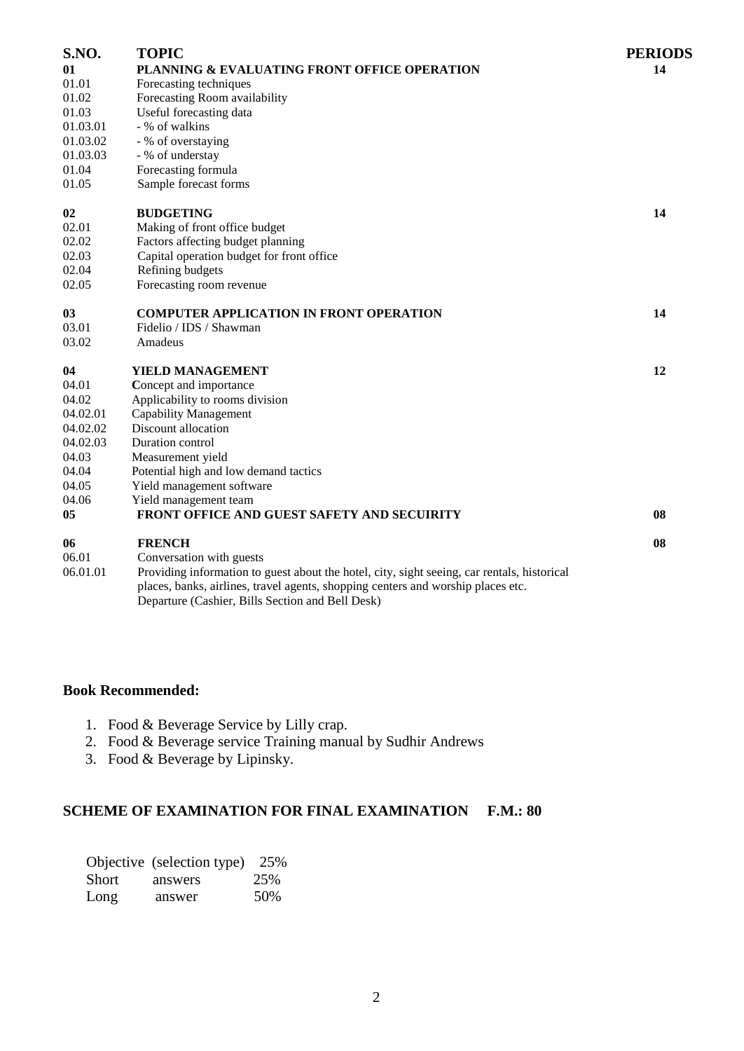| S.NO.    | <b>TOPIC</b>                                                                                                                                                                                                                        | <b>PERIODS</b> |
|----------|-------------------------------------------------------------------------------------------------------------------------------------------------------------------------------------------------------------------------------------|----------------|
| 01       | PLANNING & EVALUATING FRONT OFFICE OPERATION                                                                                                                                                                                        | 14             |
| 01.01    | Forecasting techniques                                                                                                                                                                                                              |                |
| 01.02    | Forecasting Room availability                                                                                                                                                                                                       |                |
| 01.03    | Useful forecasting data                                                                                                                                                                                                             |                |
| 01.03.01 | - % of walkins                                                                                                                                                                                                                      |                |
| 01.03.02 | - % of overstaying                                                                                                                                                                                                                  |                |
| 01.03.03 | - % of understay                                                                                                                                                                                                                    |                |
| 01.04    | Forecasting formula                                                                                                                                                                                                                 |                |
| 01.05    | Sample forecast forms                                                                                                                                                                                                               |                |
| 02       | <b>BUDGETING</b>                                                                                                                                                                                                                    | 14             |
| 02.01    | Making of front office budget                                                                                                                                                                                                       |                |
| 02.02    | Factors affecting budget planning                                                                                                                                                                                                   |                |
| 02.03    | Capital operation budget for front office                                                                                                                                                                                           |                |
| 02.04    | Refining budgets                                                                                                                                                                                                                    |                |
| 02.05    | Forecasting room revenue                                                                                                                                                                                                            |                |
| 03       | <b>COMPUTER APPLICATION IN FRONT OPERATION</b>                                                                                                                                                                                      | 14             |
| 03.01    | Fidelio / IDS / Shawman                                                                                                                                                                                                             |                |
| 03.02    | Amadeus                                                                                                                                                                                                                             |                |
| 04       | YIELD MANAGEMENT                                                                                                                                                                                                                    | 12             |
| 04.01    | Concept and importance                                                                                                                                                                                                              |                |
| 04.02    | Applicability to rooms division                                                                                                                                                                                                     |                |
| 04.02.01 | <b>Capability Management</b>                                                                                                                                                                                                        |                |
| 04.02.02 | Discount allocation                                                                                                                                                                                                                 |                |
| 04.02.03 | Duration control                                                                                                                                                                                                                    |                |
| 04.03    | Measurement yield                                                                                                                                                                                                                   |                |
| 04.04    | Potential high and low demand tactics                                                                                                                                                                                               |                |
| 04.05    | Yield management software                                                                                                                                                                                                           |                |
| 04.06    | Yield management team                                                                                                                                                                                                               |                |
| 05       | FRONT OFFICE AND GUEST SAFETY AND SECUIRITY                                                                                                                                                                                         | 08             |
| 06       | <b>FRENCH</b>                                                                                                                                                                                                                       | 08             |
| 06.01    | Conversation with guests                                                                                                                                                                                                            |                |
| 06.01.01 | Providing information to guest about the hotel, city, sight seeing, car rentals, historical<br>places, banks, airlines, travel agents, shopping centers and worship places etc.<br>Departure (Cashier, Bills Section and Bell Desk) |                |

#### **Book Recommended:**

- 1. Food & Beverage Service by Lilly crap.
- 2. Food & Beverage service Training manual by Sudhir Andrews
- 3. Food & Beverage by Lipinsky.

### **SCHEME OF EXAMINATION FOR FINAL EXAMINATION F.M.: 80**

|       | Objective (selection type) | 25% |
|-------|----------------------------|-----|
| Short | answers                    | 25% |
| Long  | answer                     | 50% |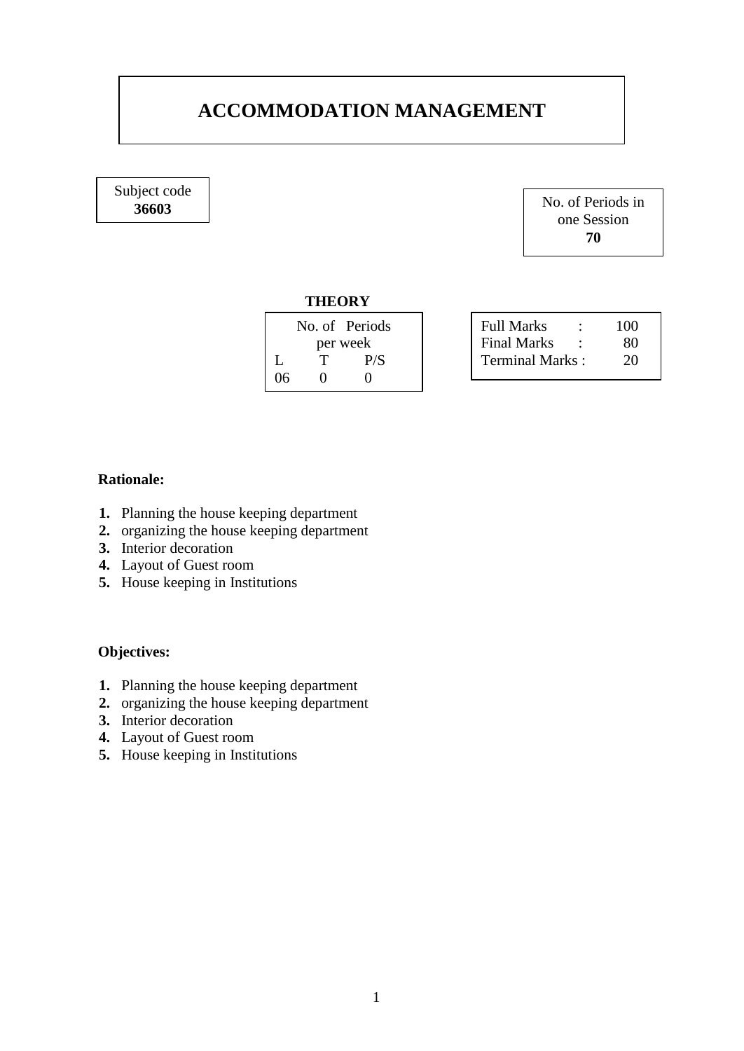# **ACCOMMODATION MANAGEMENT**

Subject code

**36603** No. of Periods in one Session **70**

#### **THEORY**

|    |          | No. of Periods | Fu. |
|----|----------|----------------|-----|
|    | per week | Fir            |     |
|    |          | P/S            | Tei |
| 06 |          |                |     |
|    |          |                |     |

| Full Marks       | ٠ | 100 |
|------------------|---|-----|
| Final Marks      |   | 80  |
| Terminal Marks : |   | 20  |

### **Rationale:**

- **1.** Planning the house keeping department
- **2.** organizing the house keeping department
- **3.** Interior decoration
- **4.** Layout of Guest room
- **5.** House keeping in Institutions

- **1.** Planning the house keeping department
- **2.** organizing the house keeping department
- **3.** Interior decoration
- **4.** Layout of Guest room
- **5.** House keeping in Institutions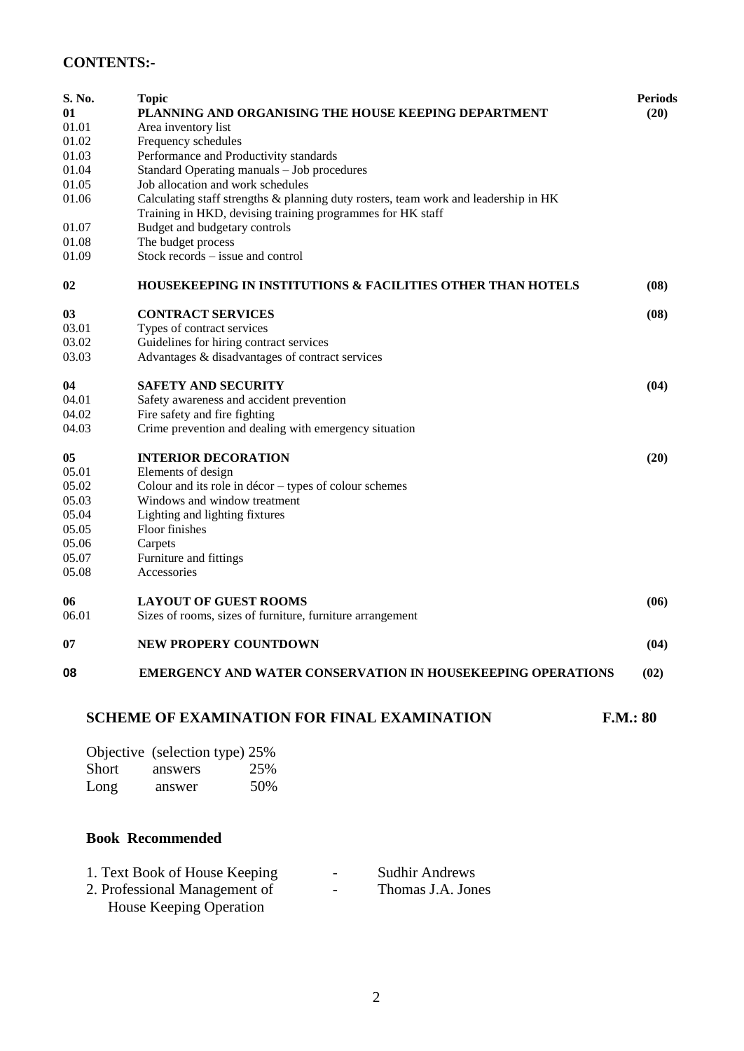## **CONTENTS:-**

| PLANNING AND ORGANISING THE HOUSE KEEPING DEPARTMENT<br>(20)<br>01<br>01.01<br>Area inventory list<br>01.02<br>Frequency schedules<br>Performance and Productivity standards<br>01.03<br>01.04<br>Standard Operating manuals - Job procedures<br>Job allocation and work schedules<br>01.05<br>01.06<br>Calculating staff strengths & planning duty rosters, team work and leadership in HK<br>Training in HKD, devising training programmes for HK staff<br>Budget and budgetary controls<br>01.07<br>The budget process<br>01.08<br>01.09<br>$Stock records - issue and control$<br>02<br><b>HOUSEKEEPING IN INSTITUTIONS &amp; FACILITIES OTHER THAN HOTELS</b><br>(08)<br>03<br><b>CONTRACT SERVICES</b><br>(08)<br>03.01<br>Types of contract services<br>03.02<br>Guidelines for hiring contract services<br>Advantages & disadvantages of contract services<br>03.03<br><b>SAFETY AND SECURITY</b><br>04<br>(04)<br>04.01<br>Safety awareness and accident prevention<br>04.02<br>Fire safety and fire fighting<br>04.03<br>Crime prevention and dealing with emergency situation<br>05<br><b>INTERIOR DECORATION</b><br>(20)<br>05.01<br>Elements of design<br>05.02<br>Colour and its role in $d\acute{e}cor - types$ of colour schemes<br>05.03<br>Windows and window treatment<br>05.04<br>Lighting and lighting fixtures<br>Floor finishes<br>05.05<br>05.06<br>Carpets<br>Furniture and fittings<br>05.07<br>05.08<br>Accessories<br><b>LAYOUT OF GUEST ROOMS</b><br>06<br>(06)<br>06.01<br>Sizes of rooms, sizes of furniture, furniture arrangement<br>07<br><b>NEW PROPERY COUNTDOWN</b><br>(04)<br>08<br><b>EMERGENCY AND WATER CONSERVATION IN HOUSEKEEPING OPERATIONS</b><br>(02)<br><b>SCHEME OF EXAMINATION FOR FINAL EXAMINATION</b><br>F.M.: 80<br>Objective (selection type) 25%<br>Short<br>25%<br>answers<br>50%<br>Long<br>answer | S. No. | <b>Topic</b> | <b>Periods</b> |
|--------------------------------------------------------------------------------------------------------------------------------------------------------------------------------------------------------------------------------------------------------------------------------------------------------------------------------------------------------------------------------------------------------------------------------------------------------------------------------------------------------------------------------------------------------------------------------------------------------------------------------------------------------------------------------------------------------------------------------------------------------------------------------------------------------------------------------------------------------------------------------------------------------------------------------------------------------------------------------------------------------------------------------------------------------------------------------------------------------------------------------------------------------------------------------------------------------------------------------------------------------------------------------------------------------------------------------------------------------------------------------------------------------------------------------------------------------------------------------------------------------------------------------------------------------------------------------------------------------------------------------------------------------------------------------------------------------------------------------------------------------------------------------------------------------------------------------------------------------------|--------|--------------|----------------|
|                                                                                                                                                                                                                                                                                                                                                                                                                                                                                                                                                                                                                                                                                                                                                                                                                                                                                                                                                                                                                                                                                                                                                                                                                                                                                                                                                                                                                                                                                                                                                                                                                                                                                                                                                                                                                                                              |        |              |                |
|                                                                                                                                                                                                                                                                                                                                                                                                                                                                                                                                                                                                                                                                                                                                                                                                                                                                                                                                                                                                                                                                                                                                                                                                                                                                                                                                                                                                                                                                                                                                                                                                                                                                                                                                                                                                                                                              |        |              |                |
|                                                                                                                                                                                                                                                                                                                                                                                                                                                                                                                                                                                                                                                                                                                                                                                                                                                                                                                                                                                                                                                                                                                                                                                                                                                                                                                                                                                                                                                                                                                                                                                                                                                                                                                                                                                                                                                              |        |              |                |
|                                                                                                                                                                                                                                                                                                                                                                                                                                                                                                                                                                                                                                                                                                                                                                                                                                                                                                                                                                                                                                                                                                                                                                                                                                                                                                                                                                                                                                                                                                                                                                                                                                                                                                                                                                                                                                                              |        |              |                |
|                                                                                                                                                                                                                                                                                                                                                                                                                                                                                                                                                                                                                                                                                                                                                                                                                                                                                                                                                                                                                                                                                                                                                                                                                                                                                                                                                                                                                                                                                                                                                                                                                                                                                                                                                                                                                                                              |        |              |                |
|                                                                                                                                                                                                                                                                                                                                                                                                                                                                                                                                                                                                                                                                                                                                                                                                                                                                                                                                                                                                                                                                                                                                                                                                                                                                                                                                                                                                                                                                                                                                                                                                                                                                                                                                                                                                                                                              |        |              |                |
|                                                                                                                                                                                                                                                                                                                                                                                                                                                                                                                                                                                                                                                                                                                                                                                                                                                                                                                                                                                                                                                                                                                                                                                                                                                                                                                                                                                                                                                                                                                                                                                                                                                                                                                                                                                                                                                              |        |              |                |
|                                                                                                                                                                                                                                                                                                                                                                                                                                                                                                                                                                                                                                                                                                                                                                                                                                                                                                                                                                                                                                                                                                                                                                                                                                                                                                                                                                                                                                                                                                                                                                                                                                                                                                                                                                                                                                                              |        |              |                |
|                                                                                                                                                                                                                                                                                                                                                                                                                                                                                                                                                                                                                                                                                                                                                                                                                                                                                                                                                                                                                                                                                                                                                                                                                                                                                                                                                                                                                                                                                                                                                                                                                                                                                                                                                                                                                                                              |        |              |                |
|                                                                                                                                                                                                                                                                                                                                                                                                                                                                                                                                                                                                                                                                                                                                                                                                                                                                                                                                                                                                                                                                                                                                                                                                                                                                                                                                                                                                                                                                                                                                                                                                                                                                                                                                                                                                                                                              |        |              |                |
|                                                                                                                                                                                                                                                                                                                                                                                                                                                                                                                                                                                                                                                                                                                                                                                                                                                                                                                                                                                                                                                                                                                                                                                                                                                                                                                                                                                                                                                                                                                                                                                                                                                                                                                                                                                                                                                              |        |              |                |
|                                                                                                                                                                                                                                                                                                                                                                                                                                                                                                                                                                                                                                                                                                                                                                                                                                                                                                                                                                                                                                                                                                                                                                                                                                                                                                                                                                                                                                                                                                                                                                                                                                                                                                                                                                                                                                                              |        |              |                |
|                                                                                                                                                                                                                                                                                                                                                                                                                                                                                                                                                                                                                                                                                                                                                                                                                                                                                                                                                                                                                                                                                                                                                                                                                                                                                                                                                                                                                                                                                                                                                                                                                                                                                                                                                                                                                                                              |        |              |                |
|                                                                                                                                                                                                                                                                                                                                                                                                                                                                                                                                                                                                                                                                                                                                                                                                                                                                                                                                                                                                                                                                                                                                                                                                                                                                                                                                                                                                                                                                                                                                                                                                                                                                                                                                                                                                                                                              |        |              |                |
|                                                                                                                                                                                                                                                                                                                                                                                                                                                                                                                                                                                                                                                                                                                                                                                                                                                                                                                                                                                                                                                                                                                                                                                                                                                                                                                                                                                                                                                                                                                                                                                                                                                                                                                                                                                                                                                              |        |              |                |
|                                                                                                                                                                                                                                                                                                                                                                                                                                                                                                                                                                                                                                                                                                                                                                                                                                                                                                                                                                                                                                                                                                                                                                                                                                                                                                                                                                                                                                                                                                                                                                                                                                                                                                                                                                                                                                                              |        |              |                |
|                                                                                                                                                                                                                                                                                                                                                                                                                                                                                                                                                                                                                                                                                                                                                                                                                                                                                                                                                                                                                                                                                                                                                                                                                                                                                                                                                                                                                                                                                                                                                                                                                                                                                                                                                                                                                                                              |        |              |                |
|                                                                                                                                                                                                                                                                                                                                                                                                                                                                                                                                                                                                                                                                                                                                                                                                                                                                                                                                                                                                                                                                                                                                                                                                                                                                                                                                                                                                                                                                                                                                                                                                                                                                                                                                                                                                                                                              |        |              |                |
|                                                                                                                                                                                                                                                                                                                                                                                                                                                                                                                                                                                                                                                                                                                                                                                                                                                                                                                                                                                                                                                                                                                                                                                                                                                                                                                                                                                                                                                                                                                                                                                                                                                                                                                                                                                                                                                              |        |              |                |
|                                                                                                                                                                                                                                                                                                                                                                                                                                                                                                                                                                                                                                                                                                                                                                                                                                                                                                                                                                                                                                                                                                                                                                                                                                                                                                                                                                                                                                                                                                                                                                                                                                                                                                                                                                                                                                                              |        |              |                |
|                                                                                                                                                                                                                                                                                                                                                                                                                                                                                                                                                                                                                                                                                                                                                                                                                                                                                                                                                                                                                                                                                                                                                                                                                                                                                                                                                                                                                                                                                                                                                                                                                                                                                                                                                                                                                                                              |        |              |                |
|                                                                                                                                                                                                                                                                                                                                                                                                                                                                                                                                                                                                                                                                                                                                                                                                                                                                                                                                                                                                                                                                                                                                                                                                                                                                                                                                                                                                                                                                                                                                                                                                                                                                                                                                                                                                                                                              |        |              |                |
|                                                                                                                                                                                                                                                                                                                                                                                                                                                                                                                                                                                                                                                                                                                                                                                                                                                                                                                                                                                                                                                                                                                                                                                                                                                                                                                                                                                                                                                                                                                                                                                                                                                                                                                                                                                                                                                              |        |              |                |
|                                                                                                                                                                                                                                                                                                                                                                                                                                                                                                                                                                                                                                                                                                                                                                                                                                                                                                                                                                                                                                                                                                                                                                                                                                                                                                                                                                                                                                                                                                                                                                                                                                                                                                                                                                                                                                                              |        |              |                |
|                                                                                                                                                                                                                                                                                                                                                                                                                                                                                                                                                                                                                                                                                                                                                                                                                                                                                                                                                                                                                                                                                                                                                                                                                                                                                                                                                                                                                                                                                                                                                                                                                                                                                                                                                                                                                                                              |        |              |                |
|                                                                                                                                                                                                                                                                                                                                                                                                                                                                                                                                                                                                                                                                                                                                                                                                                                                                                                                                                                                                                                                                                                                                                                                                                                                                                                                                                                                                                                                                                                                                                                                                                                                                                                                                                                                                                                                              |        |              |                |
|                                                                                                                                                                                                                                                                                                                                                                                                                                                                                                                                                                                                                                                                                                                                                                                                                                                                                                                                                                                                                                                                                                                                                                                                                                                                                                                                                                                                                                                                                                                                                                                                                                                                                                                                                                                                                                                              |        |              |                |
|                                                                                                                                                                                                                                                                                                                                                                                                                                                                                                                                                                                                                                                                                                                                                                                                                                                                                                                                                                                                                                                                                                                                                                                                                                                                                                                                                                                                                                                                                                                                                                                                                                                                                                                                                                                                                                                              |        |              |                |
|                                                                                                                                                                                                                                                                                                                                                                                                                                                                                                                                                                                                                                                                                                                                                                                                                                                                                                                                                                                                                                                                                                                                                                                                                                                                                                                                                                                                                                                                                                                                                                                                                                                                                                                                                                                                                                                              |        |              |                |
|                                                                                                                                                                                                                                                                                                                                                                                                                                                                                                                                                                                                                                                                                                                                                                                                                                                                                                                                                                                                                                                                                                                                                                                                                                                                                                                                                                                                                                                                                                                                                                                                                                                                                                                                                                                                                                                              |        |              |                |
|                                                                                                                                                                                                                                                                                                                                                                                                                                                                                                                                                                                                                                                                                                                                                                                                                                                                                                                                                                                                                                                                                                                                                                                                                                                                                                                                                                                                                                                                                                                                                                                                                                                                                                                                                                                                                                                              |        |              |                |
|                                                                                                                                                                                                                                                                                                                                                                                                                                                                                                                                                                                                                                                                                                                                                                                                                                                                                                                                                                                                                                                                                                                                                                                                                                                                                                                                                                                                                                                                                                                                                                                                                                                                                                                                                                                                                                                              |        |              |                |
|                                                                                                                                                                                                                                                                                                                                                                                                                                                                                                                                                                                                                                                                                                                                                                                                                                                                                                                                                                                                                                                                                                                                                                                                                                                                                                                                                                                                                                                                                                                                                                                                                                                                                                                                                                                                                                                              |        |              |                |
|                                                                                                                                                                                                                                                                                                                                                                                                                                                                                                                                                                                                                                                                                                                                                                                                                                                                                                                                                                                                                                                                                                                                                                                                                                                                                                                                                                                                                                                                                                                                                                                                                                                                                                                                                                                                                                                              |        |              |                |
|                                                                                                                                                                                                                                                                                                                                                                                                                                                                                                                                                                                                                                                                                                                                                                                                                                                                                                                                                                                                                                                                                                                                                                                                                                                                                                                                                                                                                                                                                                                                                                                                                                                                                                                                                                                                                                                              |        |              |                |
|                                                                                                                                                                                                                                                                                                                                                                                                                                                                                                                                                                                                                                                                                                                                                                                                                                                                                                                                                                                                                                                                                                                                                                                                                                                                                                                                                                                                                                                                                                                                                                                                                                                                                                                                                                                                                                                              |        |              |                |
|                                                                                                                                                                                                                                                                                                                                                                                                                                                                                                                                                                                                                                                                                                                                                                                                                                                                                                                                                                                                                                                                                                                                                                                                                                                                                                                                                                                                                                                                                                                                                                                                                                                                                                                                                                                                                                                              |        |              |                |

| 1. Text Book of House Keeping | $\sim$     | <b>Sudhir Andrews</b> |
|-------------------------------|------------|-----------------------|
| 2. Professional Management of | $\sim$ $-$ | Thomas J.A. Jones     |
| House Keeping Operation       |            |                       |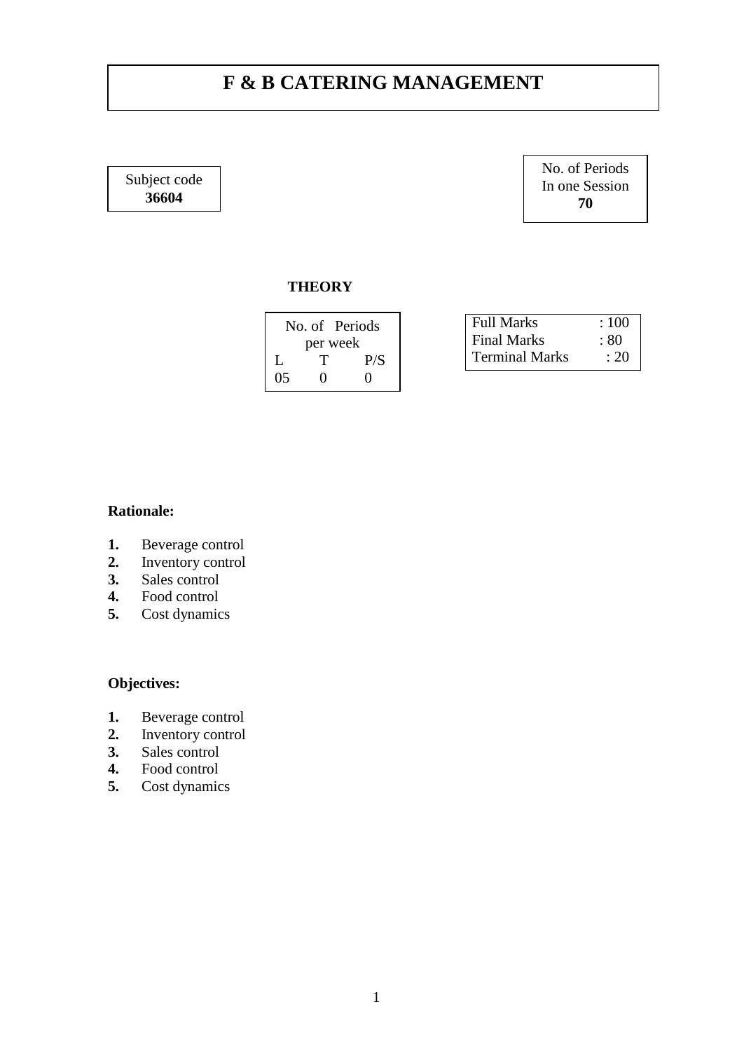# **F & B CATERING MANAGEMENT**

Subject code **36604**

No. of Periods In one Session **70**

### **THEORY**

No. of Periods

per week  ${\cal T}$ L T P/S 05 0 0

| <b>Full Marks</b>     | :100 |
|-----------------------|------|
| Final Marks           | : 80 |
| <b>Terminal Marks</b> | : 20 |

## **Rationale:**

- **1.** Beverage control
- **2.** Inventory control
- **3.** Sales control
- **4.** Food control
- **5.** Cost dynamics

- 1. Beverage control<br>2. Inventory control
- **2.** Inventory control
- **3.** Sales control
- **4.** Food control
- **5.** Cost dynamics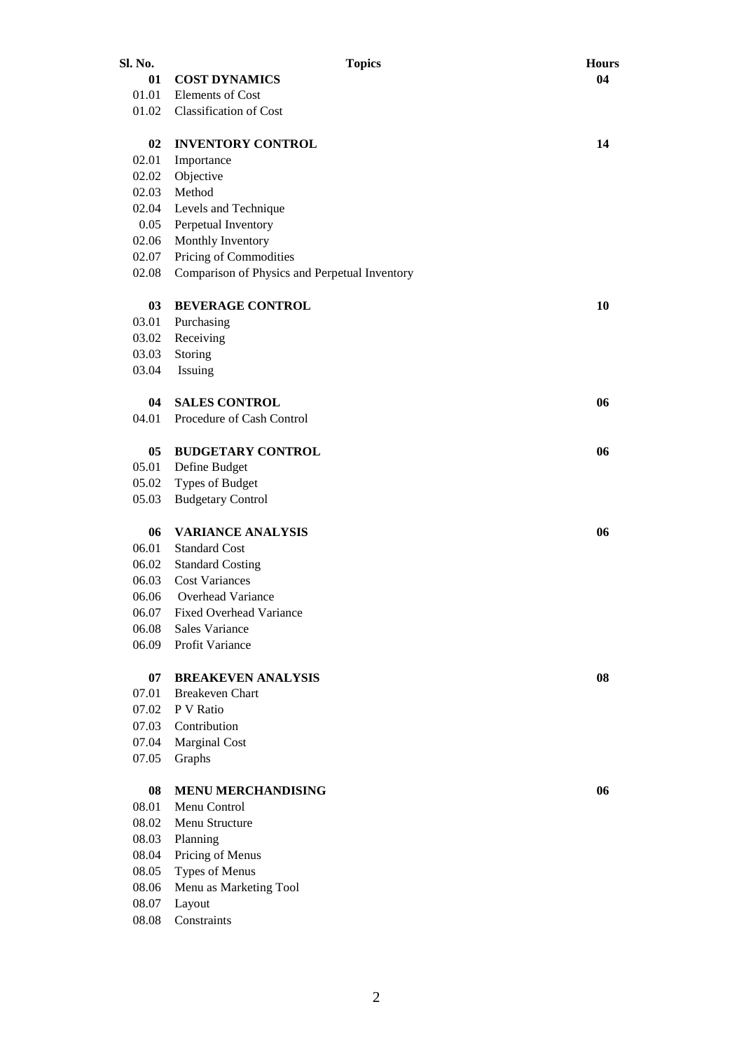| Sl. No. | <b>Topics</b>                                 | <b>Hours</b> |
|---------|-----------------------------------------------|--------------|
| 01      | <b>COST DYNAMICS</b>                          | 04           |
| 01.01   | Elements of Cost                              |              |
| 01.02   | <b>Classification of Cost</b>                 |              |
| 02      | <b>INVENTORY CONTROL</b>                      | 14           |
| 02.01   | Importance                                    |              |
| 02.02   | Objective                                     |              |
| 02.03   | Method                                        |              |
| 02.04   | Levels and Technique                          |              |
| 0.05    | Perpetual Inventory                           |              |
| 02.06   | Monthly Inventory                             |              |
| 02.07   | Pricing of Commodities                        |              |
| 02.08   | Comparison of Physics and Perpetual Inventory |              |
| 03      | <b>BEVERAGE CONTROL</b>                       | 10           |
| 03.01   | Purchasing                                    |              |
| 03.02   | Receiving                                     |              |
| 03.03   | Storing                                       |              |
| 03.04   | Issuing                                       |              |
|         |                                               |              |
| 04      | <b>SALES CONTROL</b>                          | 06           |
| 04.01   | Procedure of Cash Control                     |              |
| 05      | <b>BUDGETARY CONTROL</b>                      | 06           |
| 05.01   | Define Budget                                 |              |
| 05.02   | Types of Budget                               |              |
| 05.03   | <b>Budgetary Control</b>                      |              |
| 06      | <b>VARIANCE ANALYSIS</b>                      | 06           |
| 06.01   | <b>Standard Cost</b>                          |              |
| 06.02   | <b>Standard Costing</b>                       |              |
| 06.03   | <b>Cost Variances</b>                         |              |
| 06.06   | Overhead Variance                             |              |
| 06.07   | <b>Fixed Overhead Variance</b>                |              |
| 06.08   | Sales Variance                                |              |
| 06.09   | Profit Variance                               |              |
| 07      | <b>BREAKEVEN ANALYSIS</b>                     | 08           |
| 07.01   | <b>Breakeven Chart</b>                        |              |
| 07.02   | P V Ratio                                     |              |
| 07.03   | Contribution                                  |              |
| 07.04   | <b>Marginal Cost</b>                          |              |
| 07.05   | Graphs                                        |              |
| 08      | <b>MENU MERCHANDISING</b>                     | 06           |
| 08.01   | Menu Control                                  |              |
| 08.02   | Menu Structure                                |              |
| 08.03   | Planning                                      |              |
| 08.04   | Pricing of Menus                              |              |
| 08.05   | <b>Types of Menus</b>                         |              |
| 08.06   | Menu as Marketing Tool                        |              |
| 08.07   | Layout                                        |              |
| 08.08   | Constraints                                   |              |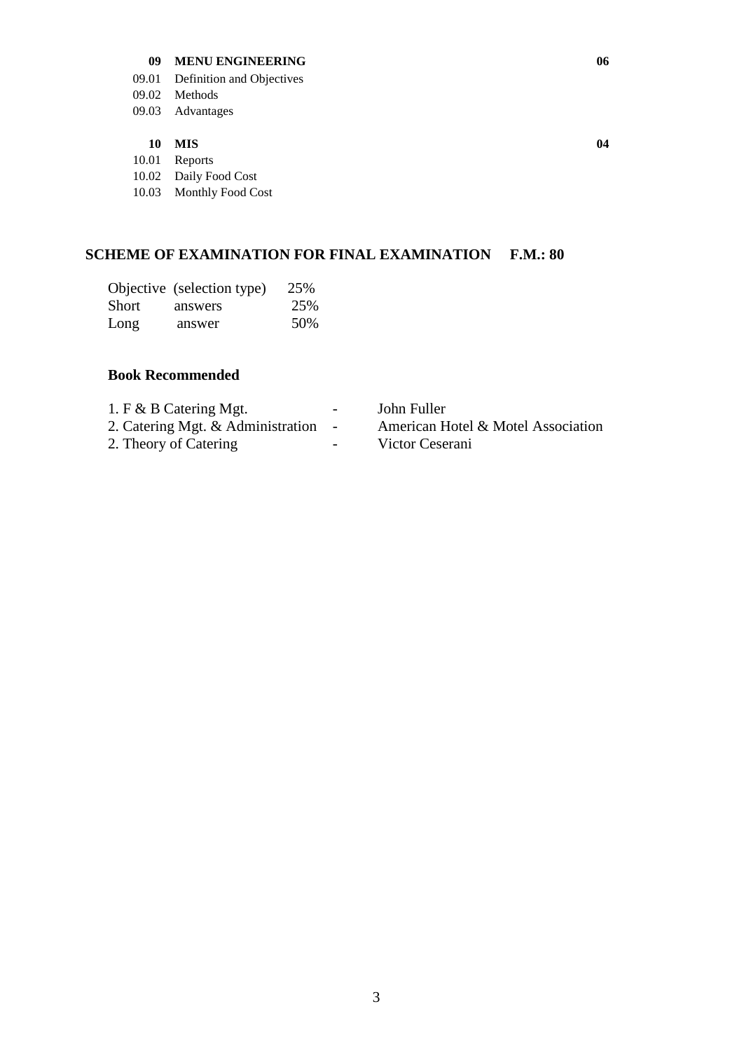#### **09 MENU ENGINEERING 06**

- 09.01 Definition and Objectives
- 09.02 Methods
- 09.03 Advantages

#### **10 MIS 04**

10.01 Reports

10.02 Daily Food Cost

10.03 Monthly Food Cost

### **SCHEME OF EXAMINATION FOR FINAL EXAMINATION F.M.: 80**

|       | Objective (selection type) | 25% |
|-------|----------------------------|-----|
| Short | answers                    | 25% |
| Long  | answer                     | 50% |

#### **Book Recommended**

| 1. F & B Catering Mgt. |  |
|------------------------|--|
|------------------------|--|

- 
- 2. Theory of Catering Theory Victor Ceserani

- John Fuller

- 2. Catering Mgt. & Administration American Hotel & Motel Association
	-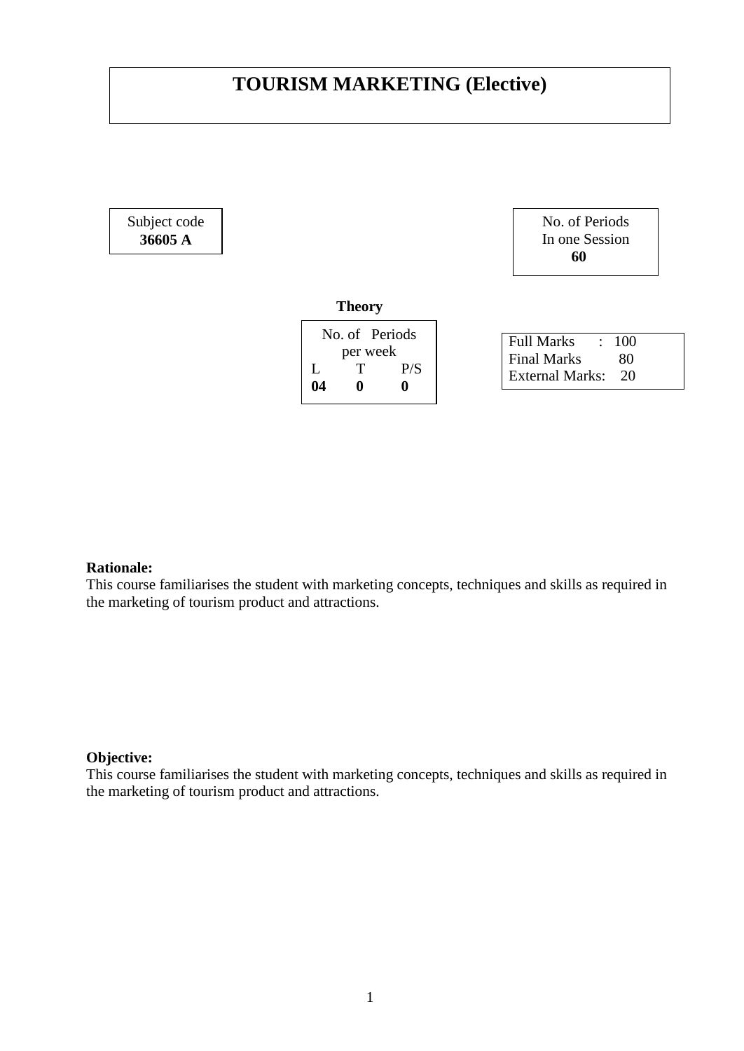# **TOURISM MARKETING (Elective)**

Subject code **36605 A**



#### **Theory**

| No. of Periods |   |     |  |
|----------------|---|-----|--|
| per week       |   |     |  |
| L              | т | P/S |  |
| 04             | o | 0   |  |
|                |   |     |  |

| <b>Full Marks</b>  | : 100 |
|--------------------|-------|
| <b>Final Marks</b> | 80    |
| External Marks:    | 20    |

### **Rationale:**

This course familiarises the student with marketing concepts, techniques and skills as required in the marketing of tourism product and attractions.

#### **Objective:**

This course familiarises the student with marketing concepts, techniques and skills as required in the marketing of tourism product and attractions.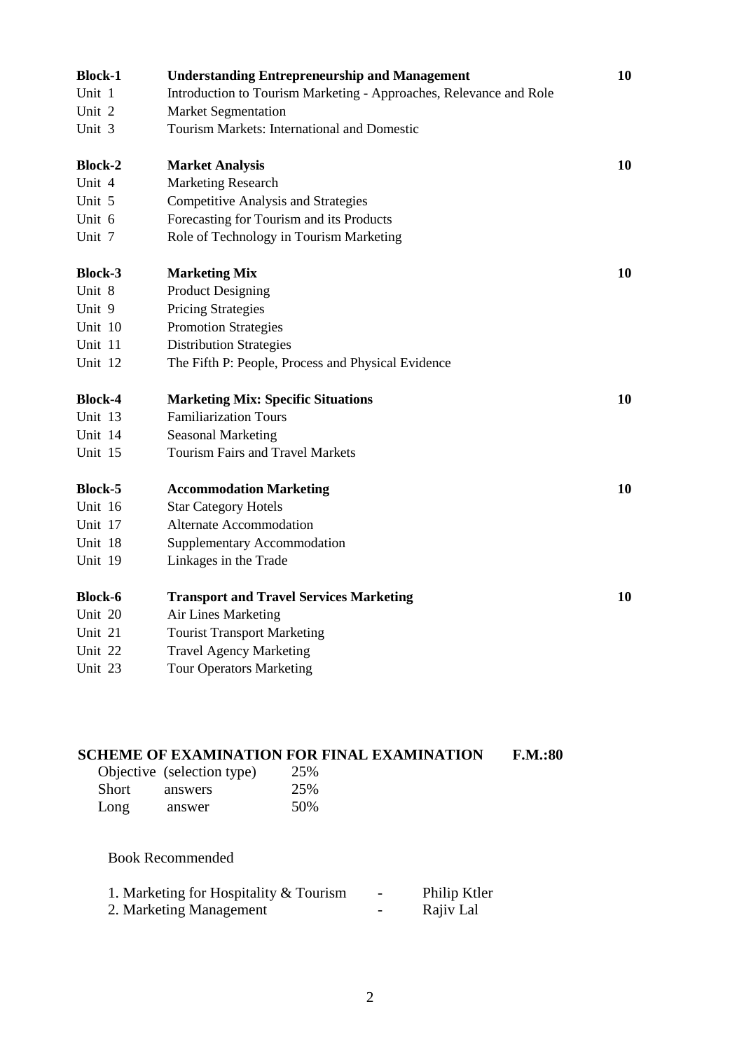| <b>Block-1</b> | <b>Understanding Entrepreneurship and Management</b>               | 10 |
|----------------|--------------------------------------------------------------------|----|
| Unit 1         | Introduction to Tourism Marketing - Approaches, Relevance and Role |    |
| Unit 2         | <b>Market Segmentation</b>                                         |    |
| Unit 3         | Tourism Markets: International and Domestic                        |    |
| <b>Block-2</b> | <b>Market Analysis</b>                                             | 10 |
| Unit 4         | <b>Marketing Research</b>                                          |    |
| Unit 5         | <b>Competitive Analysis and Strategies</b>                         |    |
| Unit 6         | Forecasting for Tourism and its Products                           |    |
| Unit 7         | Role of Technology in Tourism Marketing                            |    |
| <b>Block-3</b> | <b>Marketing Mix</b>                                               | 10 |
| Unit 8         | <b>Product Designing</b>                                           |    |
| Unit 9         | <b>Pricing Strategies</b>                                          |    |
| Unit 10        | <b>Promotion Strategies</b>                                        |    |
| Unit 11        | <b>Distribution Strategies</b>                                     |    |
| Unit 12        | The Fifth P: People, Process and Physical Evidence                 |    |
| <b>Block-4</b> | <b>Marketing Mix: Specific Situations</b>                          | 10 |
| Unit 13        | <b>Familiarization Tours</b>                                       |    |
| Unit 14        | <b>Seasonal Marketing</b>                                          |    |
| Unit 15        | <b>Tourism Fairs and Travel Markets</b>                            |    |
| <b>Block-5</b> | <b>Accommodation Marketing</b>                                     | 10 |
| Unit 16        | <b>Star Category Hotels</b>                                        |    |
| Unit 17        | <b>Alternate Accommodation</b>                                     |    |
| Unit 18        | <b>Supplementary Accommodation</b>                                 |    |
| Unit 19        | Linkages in the Trade                                              |    |
| <b>Block-6</b> | <b>Transport and Travel Services Marketing</b>                     | 10 |
| Unit 20        | Air Lines Marketing                                                |    |
| Unit 21        | <b>Tourist Transport Marketing</b>                                 |    |
| Unit 22        | <b>Travel Agency Marketing</b>                                     |    |
| Unit 23        | <b>Tour Operators Marketing</b>                                    |    |
|                |                                                                    |    |

| Objective (selection type)<br>Short<br>answers<br>Long<br>answer | <b>SCHEME OF EXAMINATION FOR FINAL EXAMINATION</b><br>25%<br>25%<br>50% |              | F.M.:80 |
|------------------------------------------------------------------|-------------------------------------------------------------------------|--------------|---------|
| <b>Book Recommended</b>                                          | 1. Marketing for Hospitality & Tourism                                  | Philip Ktler |         |
| 2. Marketing Management                                          |                                                                         | Rajiv Lal    |         |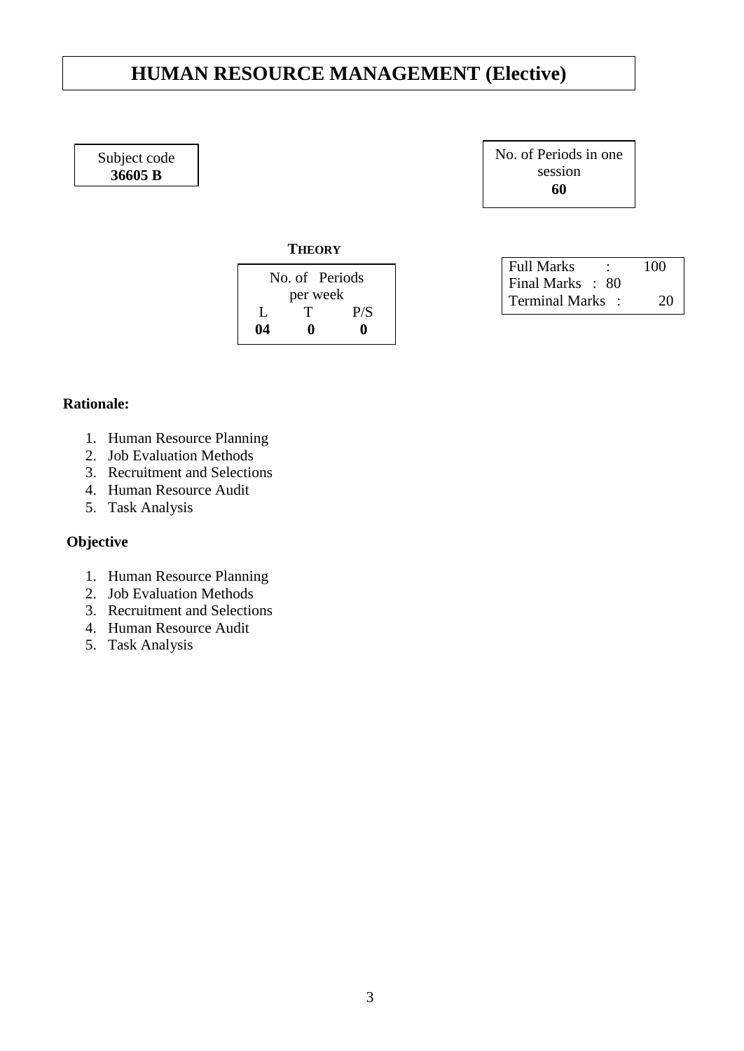# **HUMAN RESOURCE MANAGEMENT (Elective)**

Subject code **36605 B**

No. of Periods in one session **60**

**THEORY**

| No. of Periods |   |     |
|----------------|---|-----|
| per week       |   |     |
| Ι.             | T | P/S |
| 04             | o | 0   |

| <b>Full Marks</b> |  | 100 |
|-------------------|--|-----|
| Final Marks : 80  |  |     |
| Terminal Marks :  |  | 20  |

### **Rationale:**

- 1. Human Resource Planning
- 2. Job Evaluation Methods
- 3. Recruitment and Selections
- 4. Human Resource Audit
- 5. Task Analysis

## **Objective**

- 1. Human Resource Planning
- 2. Job Evaluation Methods
- 3. Recruitment and Selections
- 4. Human Resource Audit
- 5. Task Analysis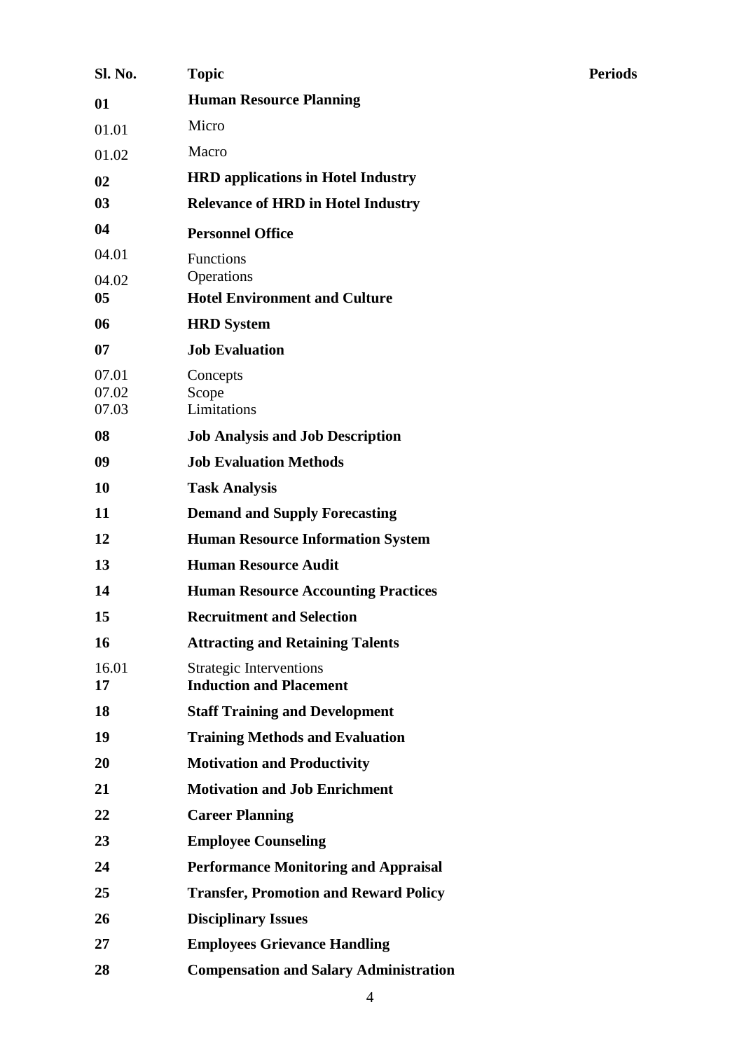| <b>Sl. No.</b> | <b>Topic</b>                                                     | <b>Periods</b> |
|----------------|------------------------------------------------------------------|----------------|
| 01             | <b>Human Resource Planning</b>                                   |                |
| 01.01          | Micro                                                            |                |
| 01.02          | Macro                                                            |                |
| 02             | <b>HRD applications in Hotel Industry</b>                        |                |
| 03             | <b>Relevance of HRD in Hotel Industry</b>                        |                |
| 04             | <b>Personnel Office</b>                                          |                |
| 04.01          | Functions                                                        |                |
| 04.02          | Operations                                                       |                |
| 0 <sub>5</sub> | <b>Hotel Environment and Culture</b>                             |                |
| 06             | <b>HRD</b> System                                                |                |
| 07             | <b>Job Evaluation</b>                                            |                |
| 07.01<br>07.02 | Concepts<br>Scope                                                |                |
| 07.03          | Limitations                                                      |                |
| 08             | <b>Job Analysis and Job Description</b>                          |                |
| 09             | <b>Job Evaluation Methods</b>                                    |                |
| 10             | <b>Task Analysis</b>                                             |                |
| 11             | <b>Demand and Supply Forecasting</b>                             |                |
| 12             | <b>Human Resource Information System</b>                         |                |
| 13             | <b>Human Resource Audit</b>                                      |                |
| 14             | <b>Human Resource Accounting Practices</b>                       |                |
| 15             | <b>Recruitment and Selection</b>                                 |                |
| <b>16</b>      | <b>Attracting and Retaining Talents</b>                          |                |
| 16.01<br>17    | <b>Strategic Interventions</b><br><b>Induction and Placement</b> |                |
| 18             | <b>Staff Training and Development</b>                            |                |
| 19             | <b>Training Methods and Evaluation</b>                           |                |
| 20             | <b>Motivation and Productivity</b>                               |                |
| 21             | <b>Motivation and Job Enrichment</b>                             |                |
| 22             | <b>Career Planning</b>                                           |                |
| 23             | <b>Employee Counseling</b>                                       |                |
| 24             | <b>Performance Monitoring and Appraisal</b>                      |                |
| 25             | <b>Transfer, Promotion and Reward Policy</b>                     |                |
| 26             | <b>Disciplinary Issues</b>                                       |                |
| 27             | <b>Employees Grievance Handling</b>                              |                |
| 28             | <b>Compensation and Salary Administration</b>                    |                |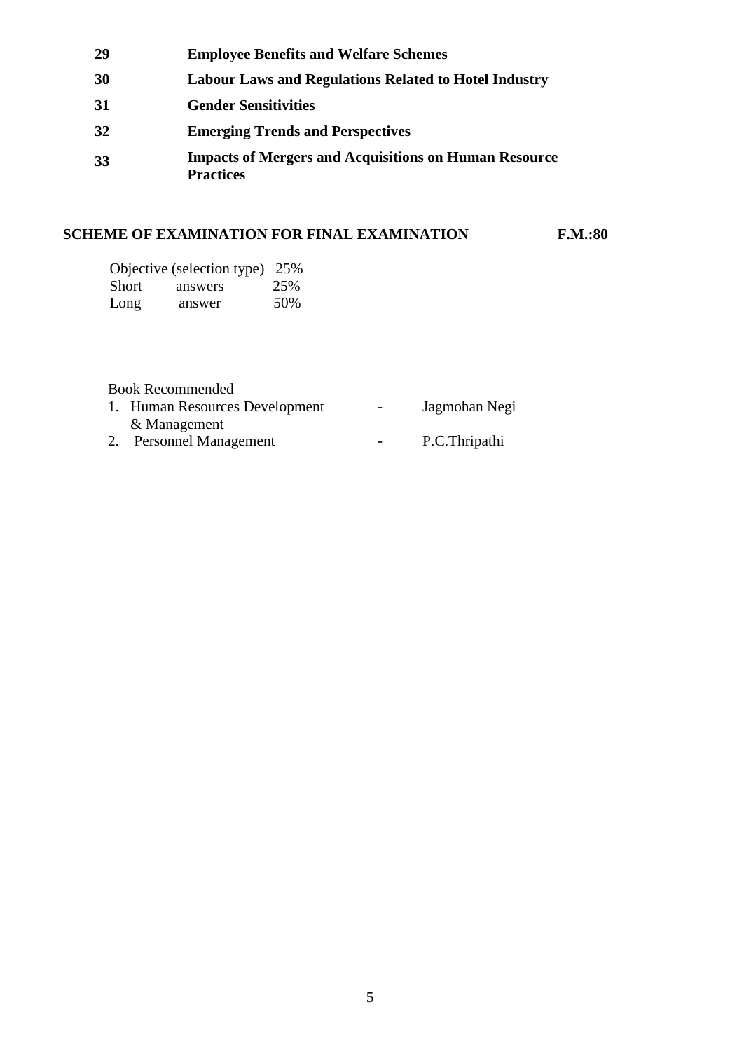| 29 | <b>Employee Benefits and Welfare Schemes</b>                                     |
|----|----------------------------------------------------------------------------------|
| 30 | <b>Labour Laws and Regulations Related to Hotel Industry</b>                     |
| 31 | <b>Gender Sensitivities</b>                                                      |
| 32 | <b>Emerging Trends and Perspectives</b>                                          |
| 33 | <b>Impacts of Mergers and Acquisitions on Human Resource</b><br><b>Practices</b> |

## **SCHEME OF EXAMINATION FOR FINAL EXAMINATION F.M.:80**

|       | Objective (selection type) 25% |     |
|-------|--------------------------------|-----|
| Short | answers                        | 25% |
| Long  | answer                         | 50% |

| 1. Human Resources Development | $\overline{\phantom{a}}$ | Jagmohan Negi |
|--------------------------------|--------------------------|---------------|
| & Management                   |                          |               |
| <b>Personnel Management</b>    | $\overline{\phantom{a}}$ | P.C.Thripathi |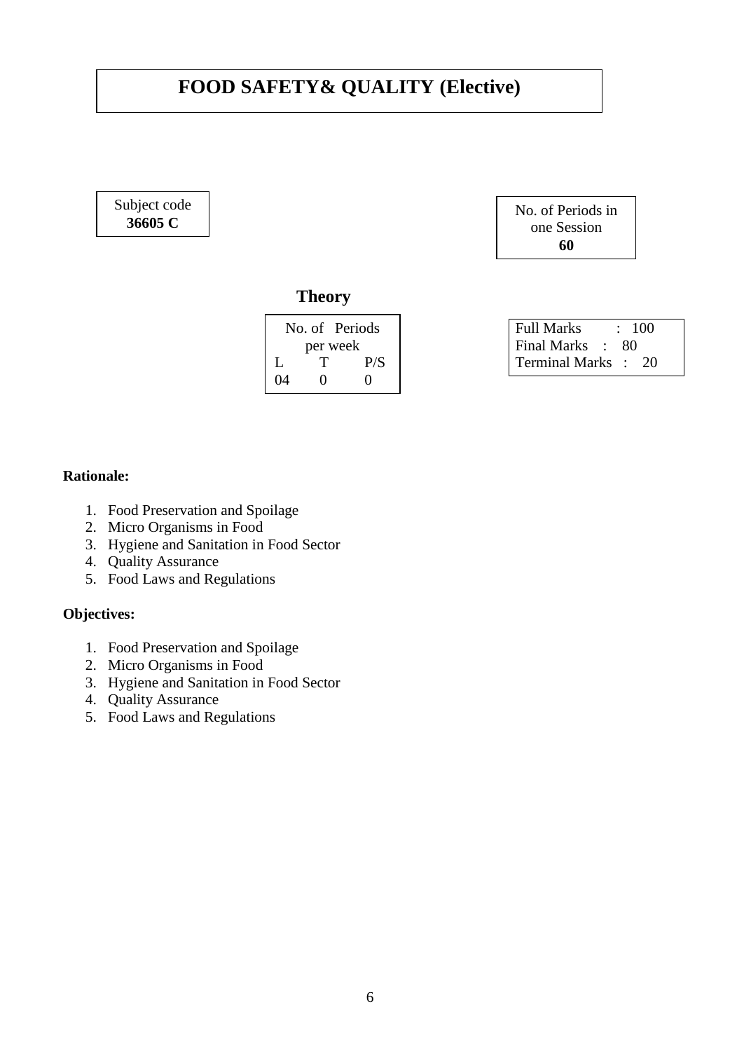# **FOOD SAFETY& QUALITY (Elective)**

### Subject code **36605 C**



## **Theory**

| No. of Periods |                   |                   |  |  |
|----------------|-------------------|-------------------|--|--|
|                | per week          |                   |  |  |
| Ι.             | т                 | P/S               |  |  |
| 04             | $\mathbf{\Omega}$ | $\mathbf{\Omega}$ |  |  |

| <b>Full Marks</b>   | : 100 |
|---------------------|-------|
| Final Marks :       | -80   |
| Terminal Marks : 20 |       |

### **Rationale:**

- 1. Food Preservation and Spoilage
- 2. Micro Organisms in Food
- 3. Hygiene and Sanitation in Food Sector
- 4. Quality Assurance
- 5. Food Laws and Regulations

- 1. Food Preservation and Spoilage
- 2. Micro Organisms in Food
- 3. Hygiene and Sanitation in Food Sector
- 4. Quality Assurance
- 5. Food Laws and Regulations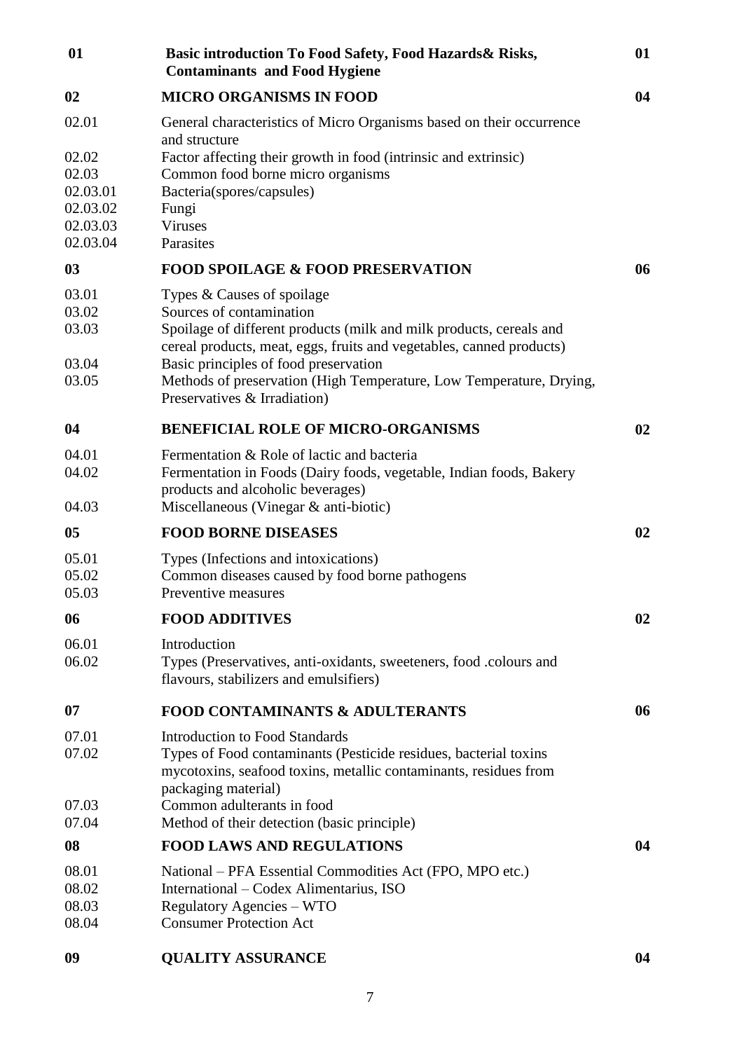| Basic introduction To Food Safety, Food Hazards & Risks,<br><b>Contaminants and Food Hygiene</b>                                            | 01                                                                                                                                                                                                                                                                                                                                                                                                                                                                                                                                                                                                                                                                                                                                                                                                                                                                                                                                                     |
|---------------------------------------------------------------------------------------------------------------------------------------------|--------------------------------------------------------------------------------------------------------------------------------------------------------------------------------------------------------------------------------------------------------------------------------------------------------------------------------------------------------------------------------------------------------------------------------------------------------------------------------------------------------------------------------------------------------------------------------------------------------------------------------------------------------------------------------------------------------------------------------------------------------------------------------------------------------------------------------------------------------------------------------------------------------------------------------------------------------|
| <b>MICRO ORGANISMS IN FOOD</b>                                                                                                              | 04                                                                                                                                                                                                                                                                                                                                                                                                                                                                                                                                                                                                                                                                                                                                                                                                                                                                                                                                                     |
| General characteristics of Micro Organisms based on their occurrence                                                                        |                                                                                                                                                                                                                                                                                                                                                                                                                                                                                                                                                                                                                                                                                                                                                                                                                                                                                                                                                        |
| Factor affecting their growth in food (intrinsic and extrinsic)                                                                             |                                                                                                                                                                                                                                                                                                                                                                                                                                                                                                                                                                                                                                                                                                                                                                                                                                                                                                                                                        |
|                                                                                                                                             |                                                                                                                                                                                                                                                                                                                                                                                                                                                                                                                                                                                                                                                                                                                                                                                                                                                                                                                                                        |
| Fungi                                                                                                                                       |                                                                                                                                                                                                                                                                                                                                                                                                                                                                                                                                                                                                                                                                                                                                                                                                                                                                                                                                                        |
|                                                                                                                                             |                                                                                                                                                                                                                                                                                                                                                                                                                                                                                                                                                                                                                                                                                                                                                                                                                                                                                                                                                        |
|                                                                                                                                             | 06                                                                                                                                                                                                                                                                                                                                                                                                                                                                                                                                                                                                                                                                                                                                                                                                                                                                                                                                                     |
|                                                                                                                                             |                                                                                                                                                                                                                                                                                                                                                                                                                                                                                                                                                                                                                                                                                                                                                                                                                                                                                                                                                        |
|                                                                                                                                             |                                                                                                                                                                                                                                                                                                                                                                                                                                                                                                                                                                                                                                                                                                                                                                                                                                                                                                                                                        |
| Spoilage of different products (milk and milk products, cereals and<br>cereal products, meat, eggs, fruits and vegetables, canned products) |                                                                                                                                                                                                                                                                                                                                                                                                                                                                                                                                                                                                                                                                                                                                                                                                                                                                                                                                                        |
|                                                                                                                                             |                                                                                                                                                                                                                                                                                                                                                                                                                                                                                                                                                                                                                                                                                                                                                                                                                                                                                                                                                        |
| Preservatives & Irradiation)                                                                                                                |                                                                                                                                                                                                                                                                                                                                                                                                                                                                                                                                                                                                                                                                                                                                                                                                                                                                                                                                                        |
| <b>BENEFICIAL ROLE OF MICRO-ORGANISMS</b>                                                                                                   | 02                                                                                                                                                                                                                                                                                                                                                                                                                                                                                                                                                                                                                                                                                                                                                                                                                                                                                                                                                     |
| Fermentation & Role of lactic and bacteria                                                                                                  |                                                                                                                                                                                                                                                                                                                                                                                                                                                                                                                                                                                                                                                                                                                                                                                                                                                                                                                                                        |
|                                                                                                                                             |                                                                                                                                                                                                                                                                                                                                                                                                                                                                                                                                                                                                                                                                                                                                                                                                                                                                                                                                                        |
| Miscellaneous (Vinegar & anti-biotic)                                                                                                       |                                                                                                                                                                                                                                                                                                                                                                                                                                                                                                                                                                                                                                                                                                                                                                                                                                                                                                                                                        |
| <b>FOOD BORNE DISEASES</b>                                                                                                                  | 02                                                                                                                                                                                                                                                                                                                                                                                                                                                                                                                                                                                                                                                                                                                                                                                                                                                                                                                                                     |
| Types (Infections and intoxications)                                                                                                        |                                                                                                                                                                                                                                                                                                                                                                                                                                                                                                                                                                                                                                                                                                                                                                                                                                                                                                                                                        |
|                                                                                                                                             |                                                                                                                                                                                                                                                                                                                                                                                                                                                                                                                                                                                                                                                                                                                                                                                                                                                                                                                                                        |
|                                                                                                                                             | 02                                                                                                                                                                                                                                                                                                                                                                                                                                                                                                                                                                                                                                                                                                                                                                                                                                                                                                                                                     |
|                                                                                                                                             |                                                                                                                                                                                                                                                                                                                                                                                                                                                                                                                                                                                                                                                                                                                                                                                                                                                                                                                                                        |
|                                                                                                                                             |                                                                                                                                                                                                                                                                                                                                                                                                                                                                                                                                                                                                                                                                                                                                                                                                                                                                                                                                                        |
| flavours, stabilizers and emulsifiers)                                                                                                      |                                                                                                                                                                                                                                                                                                                                                                                                                                                                                                                                                                                                                                                                                                                                                                                                                                                                                                                                                        |
| <b>FOOD CONTAMINANTS &amp; ADULTERANTS</b>                                                                                                  | 06                                                                                                                                                                                                                                                                                                                                                                                                                                                                                                                                                                                                                                                                                                                                                                                                                                                                                                                                                     |
| <b>Introduction to Food Standards</b>                                                                                                       |                                                                                                                                                                                                                                                                                                                                                                                                                                                                                                                                                                                                                                                                                                                                                                                                                                                                                                                                                        |
|                                                                                                                                             |                                                                                                                                                                                                                                                                                                                                                                                                                                                                                                                                                                                                                                                                                                                                                                                                                                                                                                                                                        |
| packaging material)                                                                                                                         |                                                                                                                                                                                                                                                                                                                                                                                                                                                                                                                                                                                                                                                                                                                                                                                                                                                                                                                                                        |
| Common adulterants in food                                                                                                                  |                                                                                                                                                                                                                                                                                                                                                                                                                                                                                                                                                                                                                                                                                                                                                                                                                                                                                                                                                        |
|                                                                                                                                             |                                                                                                                                                                                                                                                                                                                                                                                                                                                                                                                                                                                                                                                                                                                                                                                                                                                                                                                                                        |
|                                                                                                                                             | 04                                                                                                                                                                                                                                                                                                                                                                                                                                                                                                                                                                                                                                                                                                                                                                                                                                                                                                                                                     |
| National – PFA Essential Commodities Act (FPO, MPO etc.)                                                                                    |                                                                                                                                                                                                                                                                                                                                                                                                                                                                                                                                                                                                                                                                                                                                                                                                                                                                                                                                                        |
|                                                                                                                                             |                                                                                                                                                                                                                                                                                                                                                                                                                                                                                                                                                                                                                                                                                                                                                                                                                                                                                                                                                        |
| <b>Consumer Protection Act</b>                                                                                                              |                                                                                                                                                                                                                                                                                                                                                                                                                                                                                                                                                                                                                                                                                                                                                                                                                                                                                                                                                        |
| <b>QUALITY ASSURANCE</b>                                                                                                                    | 04                                                                                                                                                                                                                                                                                                                                                                                                                                                                                                                                                                                                                                                                                                                                                                                                                                                                                                                                                     |
|                                                                                                                                             | and structure<br>Common food borne micro organisms<br>Bacteria(spores/capsules)<br><b>Viruses</b><br>Parasites<br><b>FOOD SPOILAGE &amp; FOOD PRESERVATION</b><br>Types & Causes of spoilage<br>Sources of contamination<br>Basic principles of food preservation<br>Methods of preservation (High Temperature, Low Temperature, Drying,<br>Fermentation in Foods (Dairy foods, vegetable, Indian foods, Bakery<br>products and alcoholic beverages)<br>Common diseases caused by food borne pathogens<br>Preventive measures<br><b>FOOD ADDITIVES</b><br>Introduction<br>Types (Preservatives, anti-oxidants, sweeteners, food .colours and<br>Types of Food contaminants (Pesticide residues, bacterial toxins<br>mycotoxins, seafood toxins, metallic contaminants, residues from<br>Method of their detection (basic principle)<br><b>FOOD LAWS AND REGULATIONS</b><br>International – Codex Alimentarius, ISO<br><b>Regulatory Agencies – WTO</b> |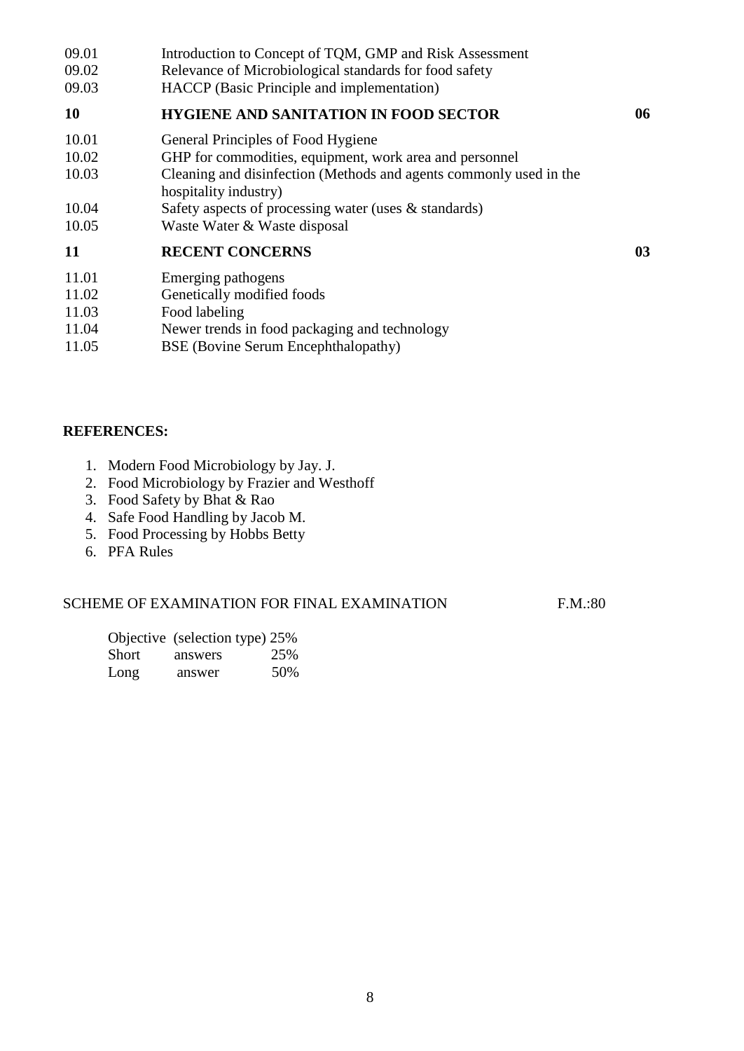- 09.01 09.02 09.03 Introduction to Concept of TQM, GMP and Risk Assessment Relevance of Microbiological standards for food safety HACCP (Basic Principle and implementation) **10 HYGIENE AND SANITATION IN FOOD SECTOR 06** 10.01 10.02 10.03 10.04 10.05 General Principles of Food Hygiene GHP for commodities, equipment, work area and personnel Cleaning and disinfection (Methods and agents commonly used in the hospitality industry) Safety aspects of processing water (uses & standards) Waste Water & Waste disposal **11 RECENT CONCERNS 03** 11.01 Emerging pathogens Genetically modified foods
- 11.02
- 11.03 Food labeling
- 11.04 Newer trends in food packaging and technology
- 11.05 BSE (Bovine Serum Encephthalopathy)

### **REFERENCES:**

- 1. Modern Food Microbiology by Jay. J.
- 2. Food Microbiology by Frazier and Westhoff
- 3. Food Safety by Bhat & Rao
- 4. Safe Food Handling by Jacob M.
- 5. Food Processing by Hobbs Betty
- 6. PFA Rules

#### SCHEME OF EXAMINATION FOR FINAL EXAMINATION F.M.:80

Objective (selection type) 25%<br>Short answers 25%  $answers$  25% Long answer 50%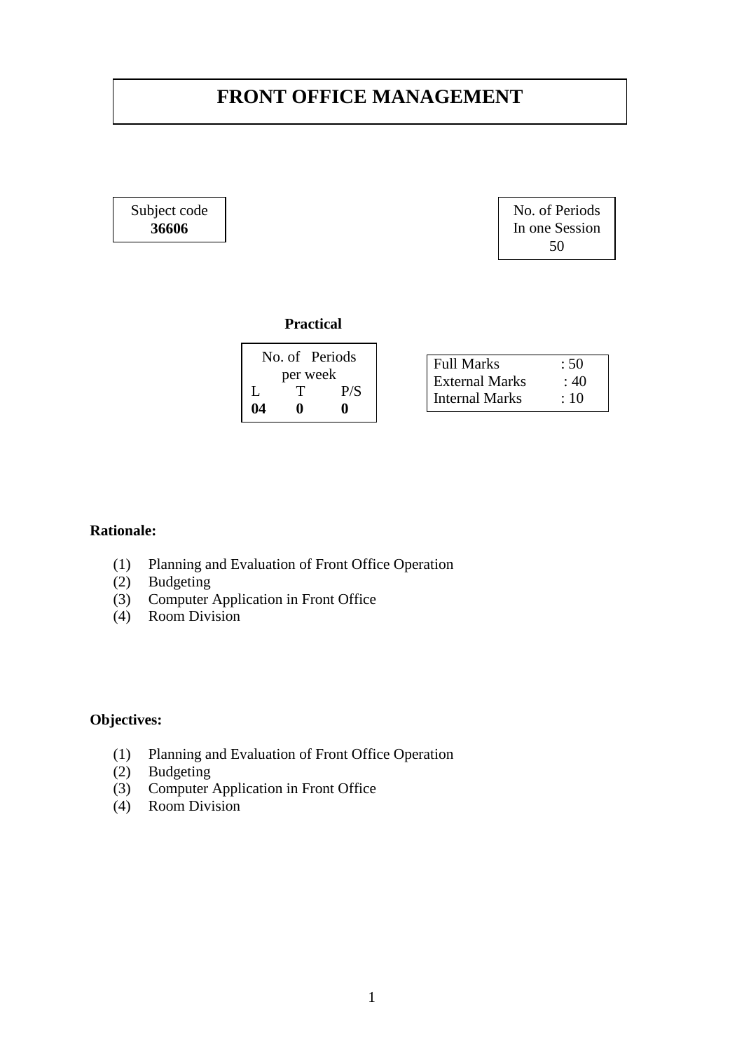# **FRONT OFFICE MANAGEMENT**

Subject code **36606**

No. of Periods In one Session 50

#### **Practical**

|    | No. of Periods |     |                       |      |
|----|----------------|-----|-----------------------|------|
|    |                |     | <b>Full Marks</b>     | : 50 |
|    | per week       |     | <b>External Marks</b> | : 40 |
|    |                | P/S | <b>Internal Marks</b> |      |
| 04 |                |     |                       | : 10 |
|    |                |     |                       |      |

### **Rationale:**

- (1) Planning and Evaluation of Front Office Operation
- (2) Budgeting
- (3) Computer Application in Front Office
- (4) Room Division

- (1) Planning and Evaluation of Front Office Operation
- (2) Budgeting
- (3) Computer Application in Front Office
- (4) Room Division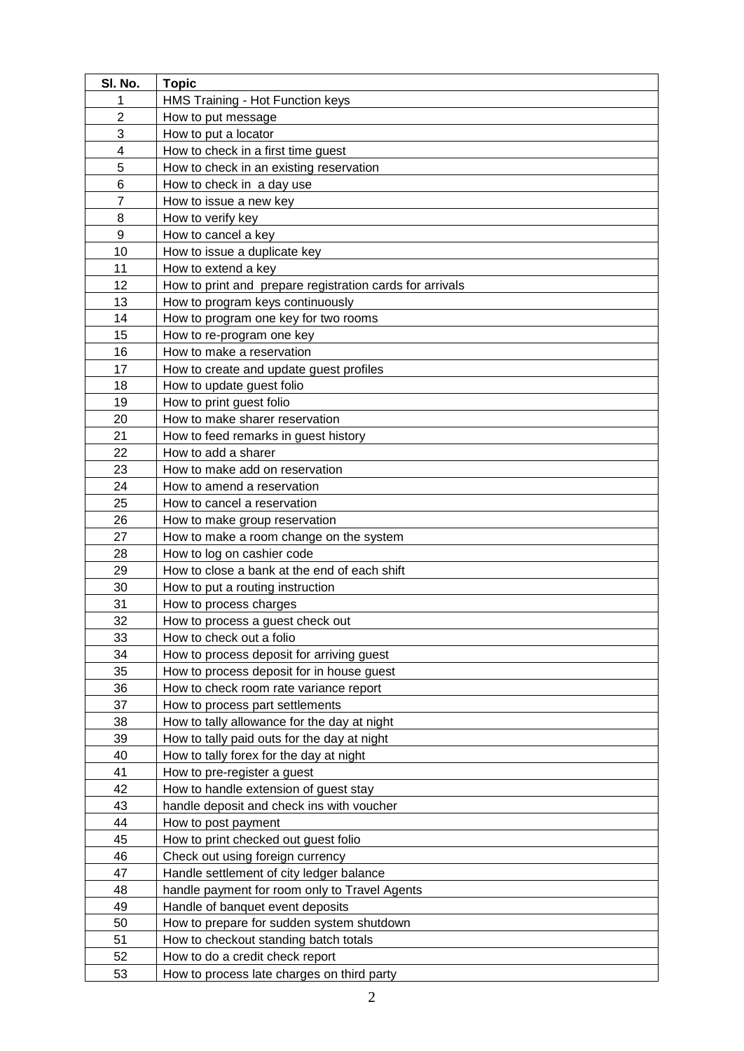| SI. No.        | <b>Topic</b>                                             |  |  |  |
|----------------|----------------------------------------------------------|--|--|--|
| 1              | HMS Training - Hot Function keys                         |  |  |  |
| $\overline{2}$ | How to put message                                       |  |  |  |
| 3              | How to put a locator                                     |  |  |  |
| 4              | How to check in a first time guest                       |  |  |  |
| 5              | How to check in an existing reservation                  |  |  |  |
| 6              | How to check in a day use                                |  |  |  |
| $\overline{7}$ | How to issue a new key                                   |  |  |  |
| 8              | How to verify key                                        |  |  |  |
| 9              | How to cancel a key                                      |  |  |  |
| 10             | How to issue a duplicate key                             |  |  |  |
| 11             | How to extend a key                                      |  |  |  |
| 12             | How to print and prepare registration cards for arrivals |  |  |  |
| 13             | How to program keys continuously                         |  |  |  |
| 14             | How to program one key for two rooms                     |  |  |  |
| 15             | How to re-program one key                                |  |  |  |
| 16             | How to make a reservation                                |  |  |  |
| 17             | How to create and update guest profiles                  |  |  |  |
| 18             | How to update guest folio                                |  |  |  |
| 19             | How to print guest folio                                 |  |  |  |
| 20             | How to make sharer reservation                           |  |  |  |
| 21             | How to feed remarks in guest history                     |  |  |  |
| 22             | How to add a sharer                                      |  |  |  |
| 23             | How to make add on reservation                           |  |  |  |
| 24             | How to amend a reservation                               |  |  |  |
| 25             | How to cancel a reservation                              |  |  |  |
| 26             | How to make group reservation                            |  |  |  |
| 27             | How to make a room change on the system                  |  |  |  |
| 28             | How to log on cashier code                               |  |  |  |
| 29             | How to close a bank at the end of each shift             |  |  |  |
| 30             | How to put a routing instruction                         |  |  |  |
| 31             | How to process charges                                   |  |  |  |
| 32             | How to process a guest check out                         |  |  |  |
| 33             | How to check out a folio                                 |  |  |  |
| 34             | How to process deposit for arriving guest                |  |  |  |
| 35             | How to process deposit for in house guest                |  |  |  |
| 36             | How to check room rate variance report                   |  |  |  |
| 37             | How to process part settlements                          |  |  |  |
| 38             | How to tally allowance for the day at night              |  |  |  |
| 39             | How to tally paid outs for the day at night              |  |  |  |
| 40             | How to tally forex for the day at night                  |  |  |  |
| 41             | How to pre-register a guest                              |  |  |  |
| 42             | How to handle extension of guest stay                    |  |  |  |
| 43             | handle deposit and check ins with voucher                |  |  |  |
| 44             | How to post payment                                      |  |  |  |
| 45             | How to print checked out guest folio                     |  |  |  |
| 46             | Check out using foreign currency                         |  |  |  |
| 47             | Handle settlement of city ledger balance                 |  |  |  |
| 48             | handle payment for room only to Travel Agents            |  |  |  |
| 49             | Handle of banquet event deposits                         |  |  |  |
| 50             | How to prepare for sudden system shutdown                |  |  |  |
| 51             | How to checkout standing batch totals                    |  |  |  |
| 52             | How to do a credit check report                          |  |  |  |
| 53             | How to process late charges on third party               |  |  |  |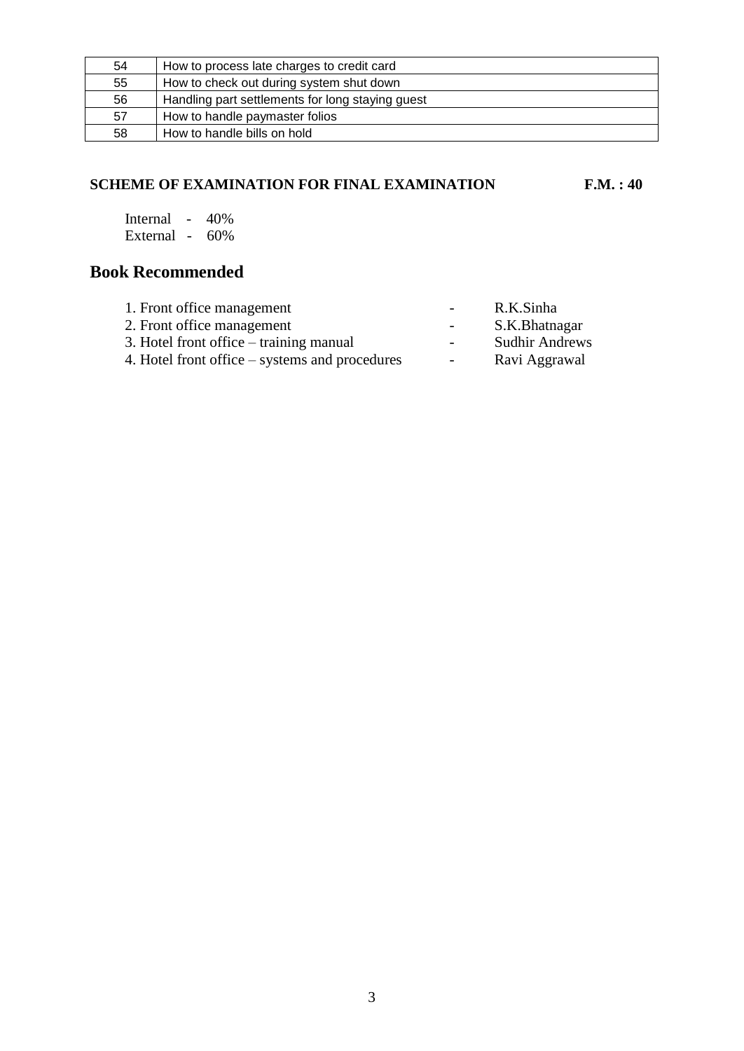| 54 | How to process late charges to credit card       |
|----|--------------------------------------------------|
| 55 | How to check out during system shut down         |
| 56 | Handling part settlements for long staying guest |
| 57 | How to handle paymaster folios                   |
| 58 | How to handle bills on hold                      |

#### **SCHEME OF EXAMINATION FOR FINAL EXAMINATION F.M. : 40**

Internal - 40% External - 60%

| 1. Front office management                     | $\sim$           | R.K.Sinha             |
|------------------------------------------------|------------------|-----------------------|
| 2. Front office management                     | $\sim$ 100 $\mu$ | S.K.Bhatnagar         |
| 3. Hotel front office – training manual        | $\sim$           | <b>Sudhir Andrews</b> |
| 4. Hotel front office – systems and procedures | $\sim$ 10 $\pm$  | Ravi Aggrawal         |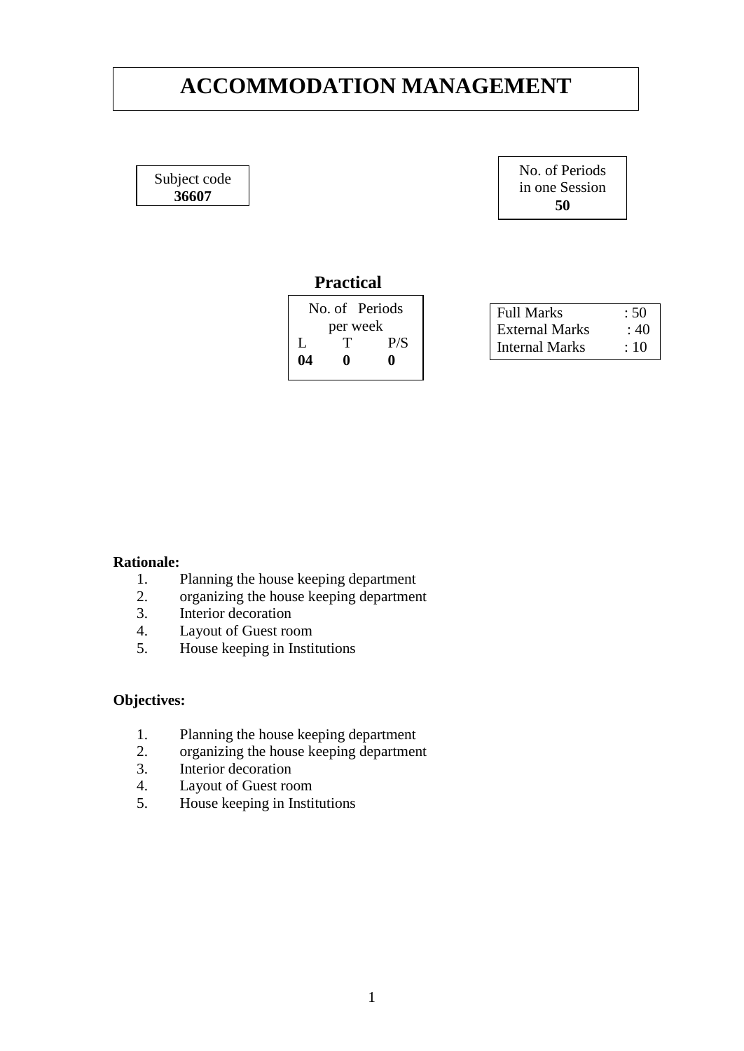# **ACCOMMODATION MANAGEMENT**

Subject code **36607**

No. of Periods in one Session **50**

## **Practical**

| No. of Periods |          |     |  |
|----------------|----------|-----|--|
|                | per week |     |  |
| Ι.             |          | P/S |  |
| 04             | n        |     |  |
|                |          |     |  |

| <b>Full Marks</b>     | :50 |
|-----------------------|-----|
| <b>External Marks</b> | :40 |
| Internal Marks        | :10 |

#### **Rationale:**

- 1. Planning the house keeping department
- 2. organizing the house keeping department
- 3. Interior decoration
- 4. Layout of Guest room
- 5. House keeping in Institutions

- 1. Planning the house keeping department
- 2. organizing the house keeping department
- 3. Interior decoration
- 4. Layout of Guest room
- 5. House keeping in Institutions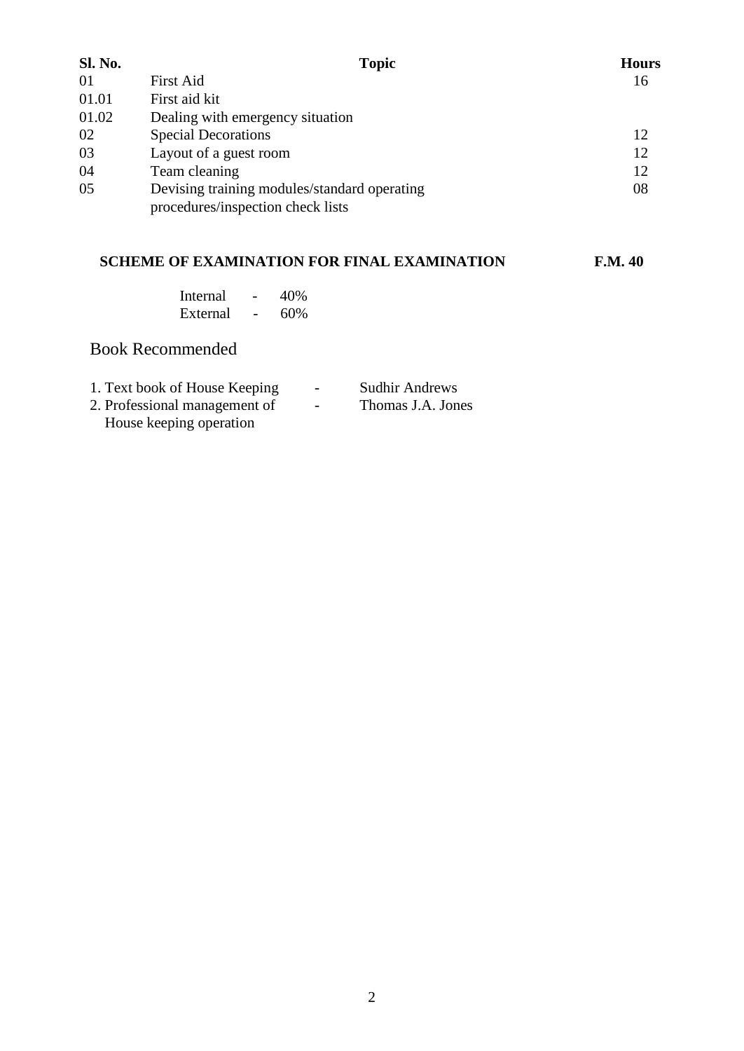| <b>Sl. No.</b> | <b>Topic</b>                                                                      | <b>Hours</b> |
|----------------|-----------------------------------------------------------------------------------|--------------|
| 01             | First Aid                                                                         | 16           |
| 01.01          | First aid kit                                                                     |              |
| 01.02          | Dealing with emergency situation                                                  |              |
| 02             | <b>Special Decorations</b>                                                        | 12           |
| 03             | Layout of a guest room                                                            | 12           |
| 04             | Team cleaning                                                                     | 12           |
| 05             | Devising training modules/standard operating<br>procedures/inspection check lists | 08           |
|                |                                                                                   |              |

## **SCHEME OF EXAMINATION FOR FINAL EXAMINATION F.M. 40**

| Internal |   | 40% |
|----------|---|-----|
| External | - | 60% |

| 1. Text book of House Keeping | $\overline{\phantom{0}}$ | <b>Sudhir Andrews</b> |
|-------------------------------|--------------------------|-----------------------|
| 2. Professional management of | $\overline{\phantom{0}}$ | Thomas J.A. Jones     |
| House keeping operation       |                          |                       |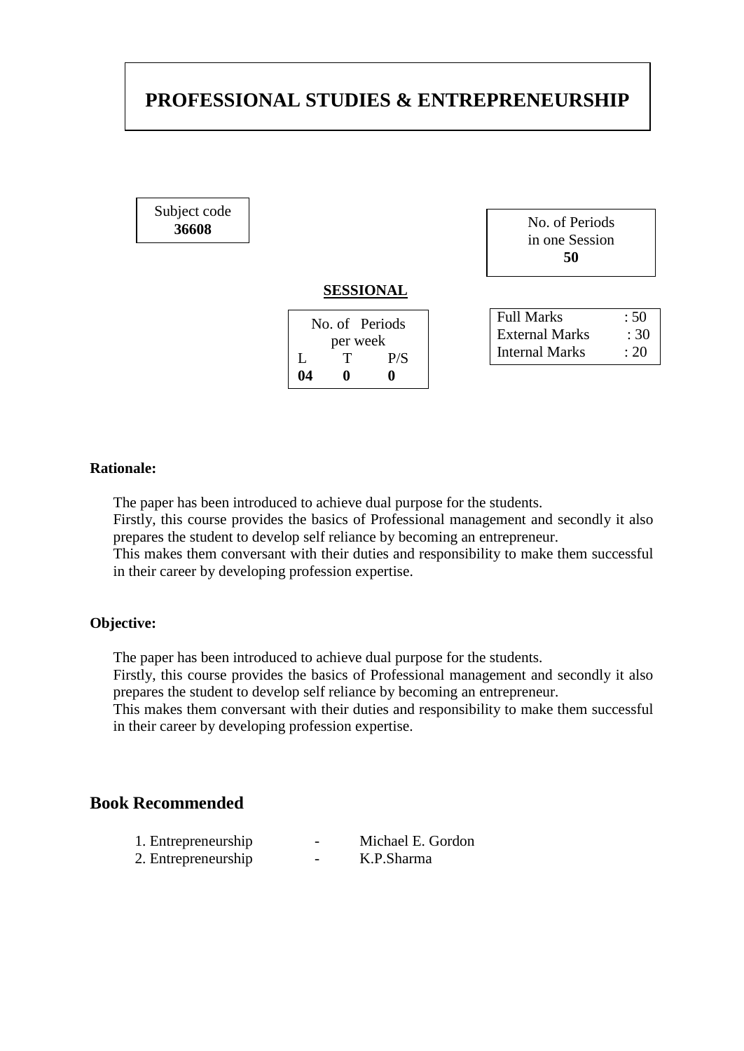# **PROFESSIONAL STUDIES & ENTREPRENEURSHIP**

Subject code

| .<br>36608 | No. of Periods |
|------------|----------------|
|            | in one Session |
|            | 50             |
|            |                |

#### **SESSIONAL**

| No. of Periods |   |     |  |
|----------------|---|-----|--|
| per week       |   |     |  |
| L              | T | P/S |  |
| 04             | o |     |  |

| Full Marks            | :50  |
|-----------------------|------|
| <b>External Marks</b> | :30  |
| Internal Marks        | : 20 |

#### **Rationale:**

The paper has been introduced to achieve dual purpose for the students.

Firstly, this course provides the basics of Professional management and secondly it also prepares the student to develop self reliance by becoming an entrepreneur.

This makes them conversant with their duties and responsibility to make them successful in their career by developing profession expertise.

#### **Objective:**

The paper has been introduced to achieve dual purpose for the students.

Firstly, this course provides the basics of Professional management and secondly it also prepares the student to develop self reliance by becoming an entrepreneur.

This makes them conversant with their duties and responsibility to make them successful in their career by developing profession expertise.

- 1. Entrepreneurship Michael E. Gordon
- 2. Entrepreneurship K.P.Sharma
-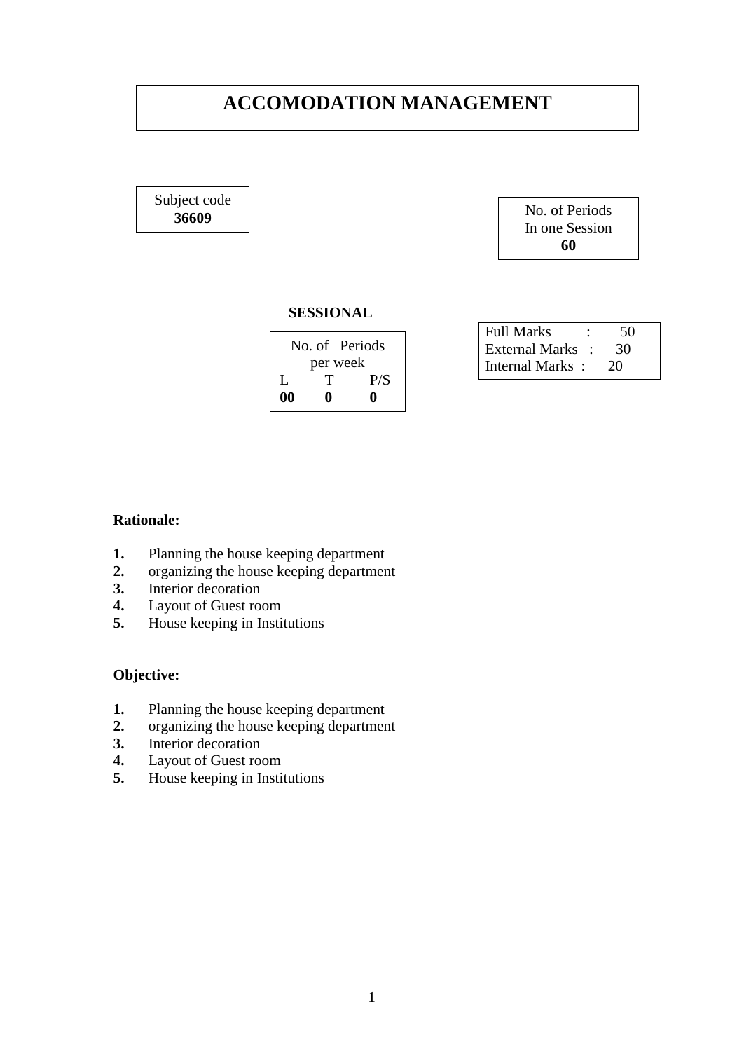# **ACCOMODATION MANAGEMENT**

Subject code **36609**



#### **SESSIONAL**

|          | No. of Periods |     |
|----------|----------------|-----|
| per week |                |     |
| L        | т              | P/S |
| 00       | o              | 0   |

| <b>Full Marks</b> | 50 |
|-------------------|----|
| External Marks :  | 30 |
| Internal Marks:   | 20 |

### **Rationale:**

- **1.** Planning the house keeping department
- 2. organizing the house keeping department<br>3. Interior decoration
- **3.** Interior decoration
- **4.** Layout of Guest room<br>**5.** House keeping in Insti
- **5.** House keeping in Institutions

- **1.** Planning the house keeping department
- **2.** organizing the house keeping department
- 3. Interior decoration<br>4. Lavout of Guest ro
- **4.** Layout of Guest room
- **5.** House keeping in Institutions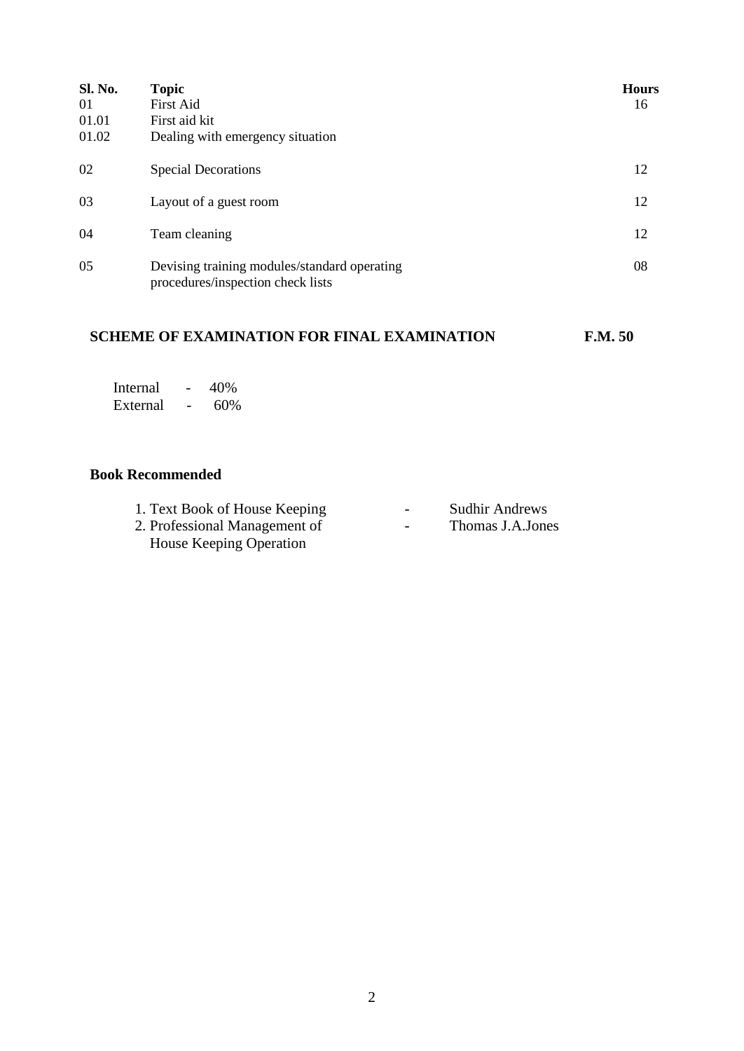| <b>Sl. No.</b><br>01<br>01.01<br>01.02 | <b>Topic</b><br><b>First Aid</b><br>First aid kit<br>Dealing with emergency situation | <b>Hours</b><br>16 |
|----------------------------------------|---------------------------------------------------------------------------------------|--------------------|
| 02                                     | <b>Special Decorations</b>                                                            | 12                 |
| 03                                     | Layout of a guest room                                                                | 12                 |
| 04                                     | Team cleaning                                                                         | 12                 |
| 05                                     | Devising training modules/standard operating<br>procedures/inspection check lists     | 08                 |

# **SCHEME OF EXAMINATION FOR FINAL EXAMINATION F.M. 50**

| Internal | 40% |
|----------|-----|
| External | 60% |

| 1. Text Book of House Keeping | $\sim$ | <b>Sudhir Andrews</b> |
|-------------------------------|--------|-----------------------|
| 2. Professional Management of | $\sim$ | Thomas J.A.Jones      |
| House Keeping Operation       |        |                       |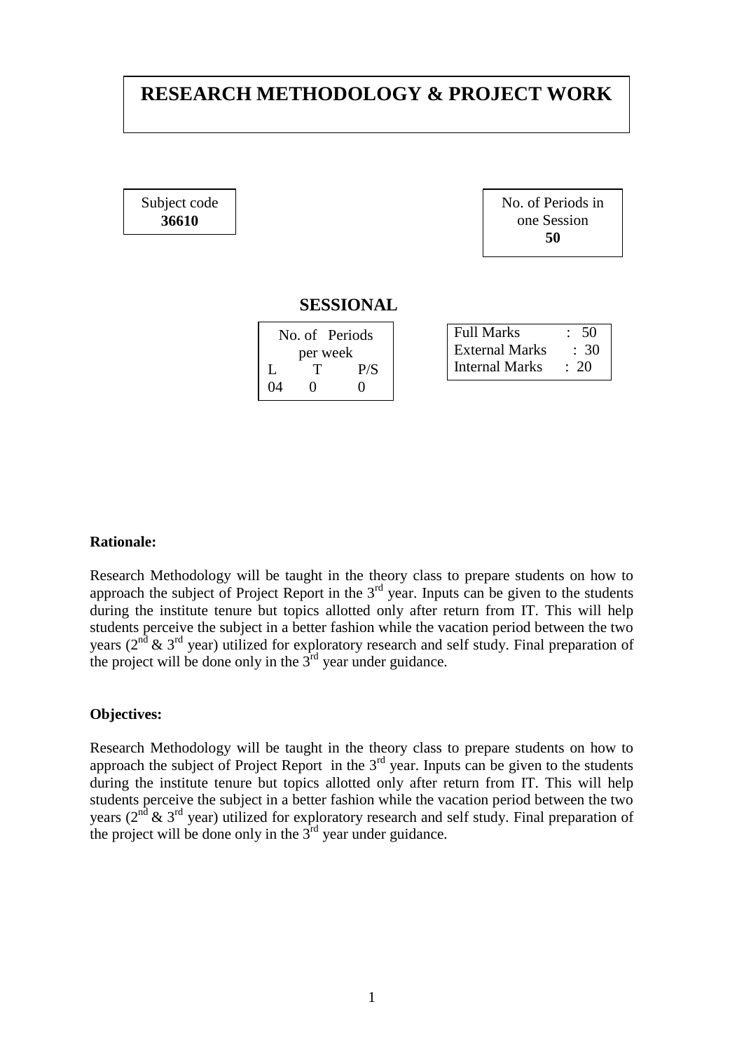# **RESEARCH METHODOLOGY & PROJECT WORK**

Subject code **36610**

No. of Periods in one Session **50**

#### **SESSIONAL**

| No. of Periods |   |     |
|----------------|---|-----|
| per week       |   |     |
| L              |   | P/S |
| 04             | 0 | 0   |

| <b>Full Marks</b> | $\div$ 50  |
|-------------------|------------|
| External Marks    | $\div$ 30  |
| Internal Marks    | $\cdot$ 20 |

### **Rationale:**

Research Methodology will be taught in the theory class to prepare students on how to approach the subject of Project Report in the 3<sup>rd</sup> year. Inputs can be given to the students during the institute tenure but topics allotted only after return from IT. This will help students perceive the subject in a better fashion while the vacation period between the two years ( $2<sup>nd</sup>$  &  $3<sup>rd</sup>$  year) utilized for exploratory research and self study. Final preparation of the project will be done only in the  $3<sup>rd</sup>$  year under guidance.

#### **Objectives:**

Research Methodology will be taught in the theory class to prepare students on how to approach the subject of Project Report in the  $3<sup>rd</sup>$  year. Inputs can be given to the students during the institute tenure but topics allotted only after return from IT. This will help students perceive the subject in a better fashion while the vacation period between the two years ( $2^{nd}$  &  $3^{rd}$  year) utilized for exploratory research and self study. Final preparation of the project will be done only in the  $3<sup>rd</sup>$  year under guidance.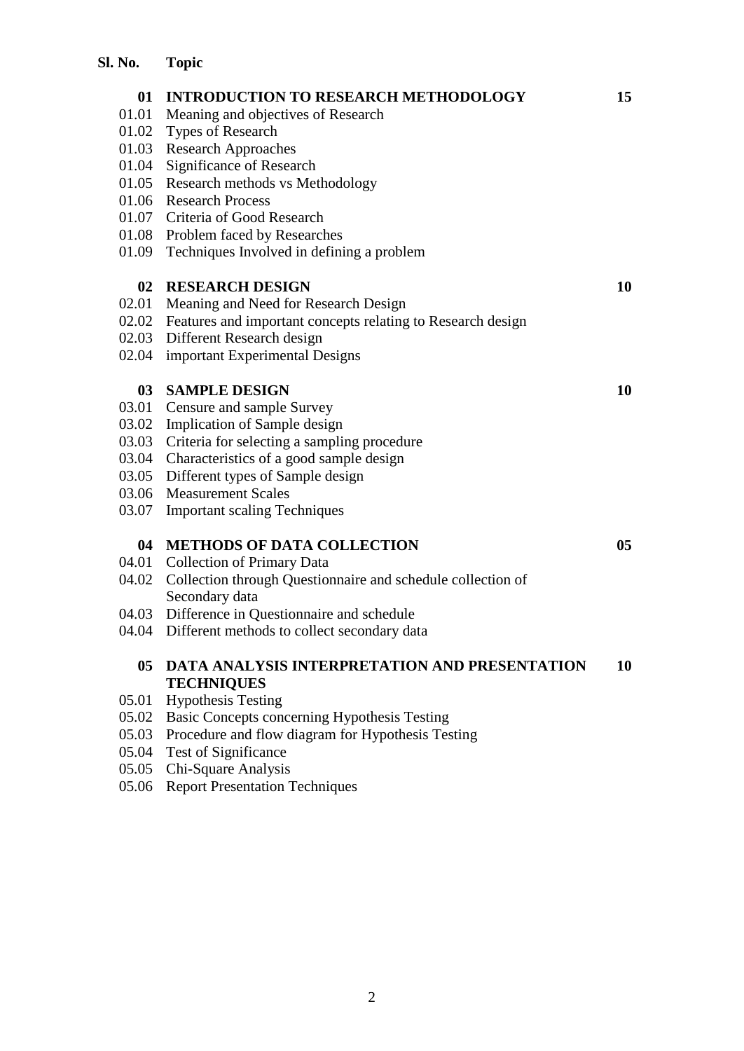| 01              | <b>INTRODUCTION TO RESEARCH METHODOLOGY</b>                 | 15 |
|-----------------|-------------------------------------------------------------|----|
| 01.01           | Meaning and objectives of Research                          |    |
| 01.02           | Types of Research                                           |    |
| 01.03           | <b>Research Approaches</b>                                  |    |
| 01.04           | Significance of Research                                    |    |
| 01.05           | Research methods vs Methodology                             |    |
| 01.06           | <b>Research Process</b>                                     |    |
| 01.07           | Criteria of Good Research                                   |    |
|                 | 01.08 Problem faced by Researches                           |    |
| 01.09           | Techniques Involved in defining a problem                   |    |
| 02              | <b>RESEARCH DESIGN</b>                                      | 10 |
| 02.01           | Meaning and Need for Research Design                        |    |
| 02.02           | Features and important concepts relating to Research design |    |
| 02.03           | Different Research design                                   |    |
| 02.04           | important Experimental Designs                              |    |
|                 |                                                             |    |
| 03 <sup>7</sup> | <b>SAMPLE DESIGN</b>                                        | 10 |
| 03.01           | Censure and sample Survey                                   |    |
| 03.02           | Implication of Sample design                                |    |
| 03.03           | Criteria for selecting a sampling procedure                 |    |
| 03.04           | Characteristics of a good sample design                     |    |
| 03.05           | Different types of Sample design                            |    |
| 03.06           | <b>Measurement Scales</b>                                   |    |
| 03.07           | <b>Important scaling Techniques</b>                         |    |
| 04              | <b>METHODS OF DATA COLLECTION</b>                           | 05 |
| 04.01           | <b>Collection of Primary Data</b>                           |    |
| 04.02           | Collection through Questionnaire and schedule collection of |    |
|                 | Secondary data                                              |    |
| 04.03           | Difference in Questionnaire and schedule                    |    |
| 04.04           | Different methods to collect secondary data                 |    |
| 05 <sup>7</sup> | DATA ANALYSIS INTERPRETATION AND PRESENTATION               | 10 |
|                 | <b>TECHNIQUES</b>                                           |    |
| 05.01           | <b>Hypothesis Testing</b>                                   |    |
| 05.02           | Basic Concepts concerning Hypothesis Testing                |    |
| 05.03           | Procedure and flow diagram for Hypothesis Testing           |    |
| 05.04           | <b>Test of Significance</b>                                 |    |
| 05.05           | Chi-Square Analysis                                         |    |
| 05.06           | <b>Report Presentation Techniques</b>                       |    |